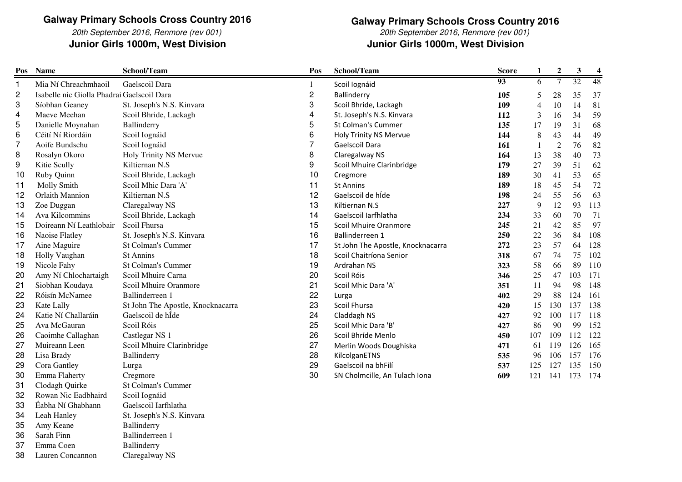20th September 2016, Renmore (rev 001)Junior Girls 1000m, West Division

38

Emma Coen Ballinderry<br>Lauren Concannon Claregalway NS

Lauren Concannon

**Galway Primary Schools Cross Country 2016** 20th September 2016, Renmore (rev 001)

**Junior Girls 1000m, West Division Junior Girls 1000m, West Division**

| Pos | <b>Name</b>                                | School/Team                       | Pos                     | School/Team                       | <b>Score</b> | $\mathbf{1}$   | $\boldsymbol{2}$ | 3   | $\boldsymbol{4}$ |
|-----|--------------------------------------------|-----------------------------------|-------------------------|-----------------------------------|--------------|----------------|------------------|-----|------------------|
| 1   | Mia Ní Chreachmhaoil                       | Gaelscoil Dara                    | 1                       | Scoil Iognáid                     | 93           | 6              | $\overline{7}$   | 32  | 48               |
| 2   | Isabelle nic Giolla Phadrai Gaelscoil Dara |                                   | $\overline{\mathbf{c}}$ | Ballinderry                       | 105          | 5              | 28               | 35  | 37               |
| 3   | Síobhan Geaney                             | St. Joseph's N.S. Kinvara         | 3                       | Scoil Bhride, Lackagh             | 109          | $\overline{4}$ | 10               | 14  | 81               |
| 4   | Maeve Meehan                               | Scoil Bhride, Lackagh             | 4                       | St. Joseph's N.S. Kinvara         | 112          | $\mathfrak{Z}$ | 16               | 34  | 59               |
| 5   | Danielle Moynahan                          | Ballinderry                       | 5                       | St Colman's Cummer                | 135          | 17             | 19               | 31  | 68               |
| 6   | Céití Ní Riordáin                          | Scoil Iognáid                     | 6                       | <b>Holy Trinity NS Mervue</b>     | 144          | $\,8\,$        | 43               | 44  | 49               |
| 7   | Aoife Bundschu                             | Scoil Iognáid                     | $\overline{7}$          | Gaelscoil Dara                    | 161          | 1              | $\sqrt{2}$       | 76  | 82               |
| 8   | Rosalyn Okoro                              | Holy Trinity NS Mervue            | 8                       | Claregalway NS                    | 164          | 13             | 38               | 40  | 73               |
| 9   | Kitie Scully                               | Kiltiernan N.S                    | 9                       | Scoil Mhuire Clarinbridge         | 179          | 27             | 39               | 51  | 62               |
| 10  | Ruby Quinn                                 | Scoil Bhride, Lackagh             | 10                      | Cregmore                          | 189          | 30             | 41               | 53  | 65               |
| 11  | Molly Smith                                | Scoil Mhic Dara 'A'               | 11                      | <b>St Annins</b>                  | 189          | 18             | 45               | 54  | 72               |
| 12  | Orlaith Mannion                            | Kiltiernan N.S                    | 12                      | Gaelscoil de híde                 | 198          | 24             | 55               | 56  | 63               |
| 13  | Zoe Duggan                                 | Claregalway NS                    | 13                      | Kiltiernan N.S                    | 227          | 9              | 12               | 93  | 113              |
| 14  | Ava Kilcommins                             | Scoil Bhride, Lackagh             | 14                      | Gaelscoil Iarfhlatha              | 234          | 33             | 60               | 70  | 71               |
| 15  | Doireann Ní Leathlobair                    | Scoil Fhursa                      | 15                      | Scoil Mhuire Oranmore             | 245          | 21             | 42               | 85  | 97               |
| 16  | Naoise Flatley                             | St. Joseph's N.S. Kinvara         | 16                      | Ballinderreen 1                   | 250          | 22             | 36               | 84  | 108              |
| 17  | Aine Maguire                               | St Colman's Cummer                | 17                      | St John The Apostle, Knocknacarra | 272          | 23             | 57               | 64  | 128              |
| 18  | Holly Vaughan                              | <b>St Annins</b>                  | 18                      | Scoil Chaitríona Senior           | 318          | 67             | 74               | 75  | 102              |
| 19  | Nicole Fahy                                | <b>St Colman's Cummer</b>         | 19                      | Ardrahan NS                       | 323          | 58             | 66               | 89  | 110              |
| 20  | Amy Ní Chlochartaigh                       | Scoil Mhuire Carna                | 20                      | Scoil Róis                        | 346          | 25             | 47               | 103 | 171              |
| 21  | Siobhan Koudaya                            | Scoil Mhuire Oranmore             | 21                      | Scoil Mhic Dara 'A'               | 351          | 11             | 94               | 98  | 148              |
| 22  | Róisín McNamee                             | Ballinderreen 1                   | 22                      | Lurga                             | 402          | 29             | 88               | 124 | 161              |
| 23  | Kate Lally                                 | St John The Apostle, Knocknacarra | 23                      | Scoil Fhursa                      | 420          | 15             | 130              | 137 | 138              |
| 24  | Katie Ní Challaráin                        | Gaelscoil de hÍde                 | 24                      | Claddagh NS                       | 427          | 92             | 100              | 117 | 118              |
| 25  | Ava McGauran                               | Scoil Róis                        | 25                      | Scoil Mhic Dara 'B'               | 427          | 86             | 90               | 99  | 152              |
| 26  | Caoimhe Callaghan                          | Castlegar NS 1                    | 26                      | Scoil Bhríde Menlo                | 450          | 107            | 109              | 112 | 122              |
| 27  | Muireann Leen                              | Scoil Mhuire Clarinbridge         | 27                      | Merlin Woods Doughiska            | 471          | 61             | 119              | 126 | 165              |
| 28  | Lisa Brady                                 | Ballinderry                       | 28                      | KilcolganETNS                     | 535          | 96             | 106              | 157 | 176              |
| 29  | Cora Gantley                               | Lurga                             | 29                      | Gaelscoil na bhFilí               | 537          | 125            | 127              | 135 | 150              |
| 30  | Emma Flaherty                              | Cregmore                          | 30                      | SN Cholmcille, An Tulach Iona     | 609          | 121            | 141              | 173 | 174              |
| 31  | Clodagh Quirke                             | St Colman's Cummer                |                         |                                   |              |                |                  |     |                  |
| 32  | Rowan Nic Eadbhaird                        | Scoil Iognáid                     |                         |                                   |              |                |                  |     |                  |
| 33  | Éabha Ní Ghabhann                          | Gaelscoil Iarfhlatha              |                         |                                   |              |                |                  |     |                  |
| 34  | Leah Hanley                                | St. Joseph's N.S. Kinvara         |                         |                                   |              |                |                  |     |                  |
| 35  | Amy Keane                                  | Ballinderry                       |                         |                                   |              |                |                  |     |                  |
| 36  | Sarah Finn                                 | Ballinderreen 1                   |                         |                                   |              |                |                  |     |                  |
| 37  | Emma Coen                                  | Ballinderry                       |                         |                                   |              |                |                  |     |                  |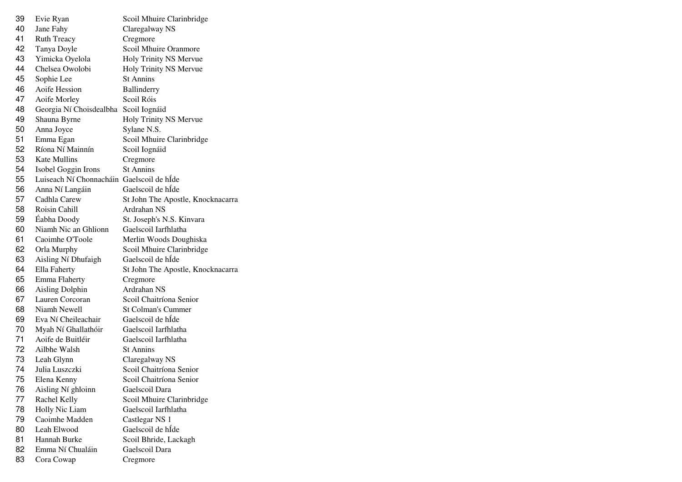| 39 | Evie Ryan                                 | Scoil Mhuire Clarinbridge         |
|----|-------------------------------------------|-----------------------------------|
| 40 | Jane Fahy                                 | Claregalway NS                    |
| 41 | <b>Ruth Treacy</b>                        | Cregmore                          |
| 42 | Tanya Doyle                               | Scoil Mhuire Oranmore             |
| 43 | Yimicka Oyelola                           | Holy Trinity NS Mervue            |
| 44 | Chelsea Owolobi                           | Holy Trinity NS Mervue            |
| 45 | Sophie Lee                                | <b>St Annins</b>                  |
| 46 | Aoife Hession                             | Ballinderry                       |
| 47 | Aoife Morley                              | Scoil Róis                        |
| 48 | Georgia Ní Choisdealbha                   | Scoil Iognáid                     |
| 49 | Shauna Byrne                              | Holy Trinity NS Mervue            |
| 50 | Anna Joyce                                | Sylane N.S.                       |
| 51 | Emma Egan                                 | Scoil Mhuire Clarinbridge         |
| 52 | Ríona Ní Mainnín                          | Scoil Iognáid                     |
| 53 | <b>Kate Mullins</b>                       | Cregmore                          |
| 54 | Isobel Goggin Irons                       | <b>St Annins</b>                  |
| 55 | Luiseach Ní Chonnacháin Gaelscoil de hÍde |                                   |
| 56 | Anna Ní Langáin                           | Gaelscoil de hÍde                 |
| 57 | Cadhla Carew                              | St John The Apostle, Knocknacarra |
| 58 | Roisin Cahill                             | Ardrahan NS                       |
| 59 | Éabha Doody                               | St. Joseph's N.S. Kinvara         |
| 60 | Niamh Nic an Ghlionn                      | Gaelscoil Iarfhlatha              |
| 61 | Caoimhe O'Toole                           | Merlin Woods Doughiska            |
| 62 | Orla Murphy                               | Scoil Mhuire Clarinbridge         |
| 63 | Aisling Ní Dhufaigh                       | Gaelscoil de hÍde                 |
| 64 | Ella Faherty                              | St John The Apostle, Knocknacarra |
| 65 | Emma Flaherty                             | Cregmore                          |
| 66 | <b>Aisling Dolphin</b>                    | Ardrahan NS                       |
| 67 | Lauren Corcoran                           | Scoil Chaitríona Senior           |
| 68 | Niamh Newell                              | <b>St Colman's Cummer</b>         |
| 69 | Eva Ní Cheileachair                       | Gaelscoil de hÍde                 |
| 70 | Myah Ní Ghallathóir                       | Gaelscoil Iarfhlatha              |
| 71 | Aoife de Buitléir                         | Gaelscoil Iarfhlatha              |
| 72 | Ailbhe Walsh                              | St Annins                         |
| 73 | Leah Glynn                                | Claregalway NS                    |
| 74 | Julia Luszczki                            | Scoil Chaitríona Senior           |
| 75 | Elena Kenny                               | Scoil Chaitríona Senior           |
| 76 | Aisling Ní ghloinn                        | Gaelscoil Dara                    |
| 77 | Rachel Kelly                              | Scoil Mhuire Clarinbridge         |
| 78 | Holly Nic Liam                            | Gaelscoil Iarfhlatha              |
| 79 | Caoimhe Madden                            | Castlegar NS 1                    |
| 80 | Leah Elwood                               | Gaelscoil de hÍde                 |
| 81 | Hannah Burke                              | Scoil Bhride, Lackagh             |
| 82 | Emma Ní Chualáin                          | Gaelscoil Dara                    |
| 83 | Cora Cowap                                | Cregmore                          |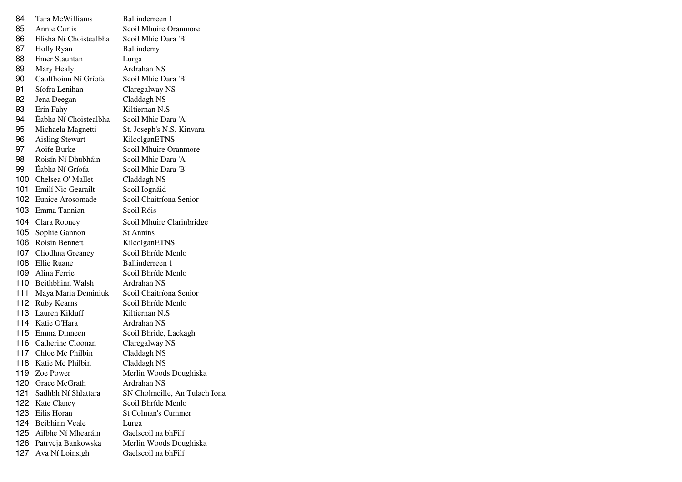| 84  | Tara McWilliams         | Ballinderreen 1               |
|-----|-------------------------|-------------------------------|
| 85  | Annie Curtis            | Scoil Mhuire Oranmore         |
| 86  | Elisha Ní Choistealbha  | Scoil Mhic Dara 'B'           |
| 87  | Holly Ryan              | <b>Ballinderry</b>            |
| 88  | <b>Emer Stauntan</b>    | Lurga                         |
| 89  | Mary Healy              | Ardrahan NS                   |
| 90  | Caolfhoinn Ní Gríofa    | Scoil Mhic Dara 'B'           |
| 91  | Síofra Lenihan          | Claregalway NS                |
| 92  | Jena Deegan             | Claddagh NS                   |
| 93  | Erin Fahy               | Kiltiernan N.S                |
| 94  | Éabha Ní Choistealbha   | Scoil Mhic Dara 'A'           |
| 95  | Michaela Magnetti       | St. Joseph's N.S. Kinvara     |
| 96  | <b>Aisling Stewart</b>  | KilcolganETNS                 |
| 97  | Aoife Burke             | Scoil Mhuire Oranmore         |
| 98  | Roisín Ní Dhubháin      | Scoil Mhic Dara 'A'           |
|     | 99 Éabha Ní Gríofa      | Scoil Mhic Dara 'B'           |
|     | 100 Chelsea O' Mallet   | Claddagh NS                   |
|     | 101 Emilí Nic Gearailt  | Scoil Iognáid                 |
|     | 102 Eunice Arosomade    | Scoil Chaitríona Senior       |
| 103 | Emma Tannian            | Scoil Róis                    |
|     | 104 Clara Rooney        | Scoil Mhuire Clarinbridge     |
| 105 | Sophie Gannon           | <b>St Annins</b>              |
|     | 106 Roisin Bennett      | KilcolganETNS                 |
|     | 107 Clíodhna Greaney    | Scoil Bhríde Menlo            |
|     | 108 Ellie Ruane         | Ballinderreen 1               |
|     | 109 Alina Ferrie        | Scoil Bhríde Menlo            |
|     | 110 Beithbhinn Walsh    | Ardrahan NS                   |
|     | 111 Maya Maria Deminiuk | Scoil Chaitríona Senior       |
|     | 112 Ruby Kearns         | Scoil Bhríde Menlo            |
|     | 113 Lauren Kilduff      | Kiltiernan N.S                |
|     | 114 Katie O'Hara        | Ardrahan NS                   |
|     | 115 Emma Dinneen        | Scoil Bhride, Lackagh         |
|     | 116 Catherine Cloonan   | Claregalway NS                |
|     | 117 Chloe Mc Philbin    | Claddagh NS                   |
|     | 118 Katie Mc Philbin    | Claddagh NS                   |
| 119 | Zoe Power               | Merlin Woods Doughiska        |
| 120 | Grace McGrath           | Ardrahan NS                   |
| 121 | Sadhbh Ní Shlattara     | SN Cholmcille, An Tulach Iona |
| 122 | Kate Clancy             | Scoil Bhríde Menlo            |
| 123 | Eilis Horan             | St Colman's Cummer            |
| 124 | <b>Beibhinn Veale</b>   | Lurga                         |
| 125 | Ailbhe Ní Mhearáin      | Gaelscoil na bhFilí           |
| 126 | Patrycja Bankowska      | Merlin Woods Doughiska        |
| 127 | Ava Ní Loinsigh         | Gaelscoil na bhFilí           |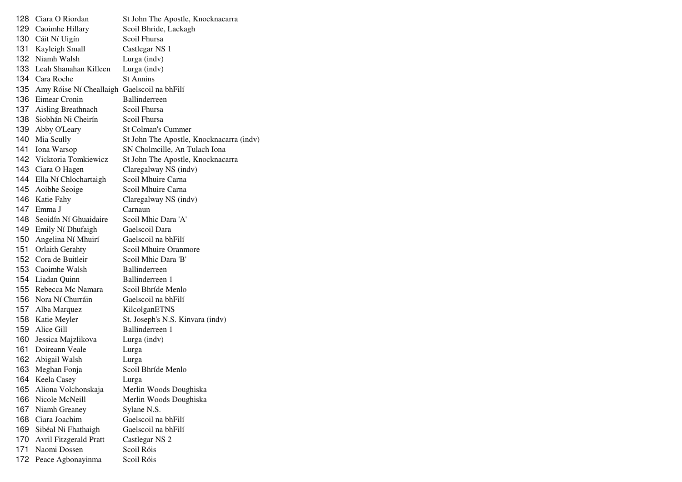| 128 | Ciara O Riordan                             | St John The Apostle, Knocknacarra        |
|-----|---------------------------------------------|------------------------------------------|
| 129 | Caoimhe Hillary                             | Scoil Bhride, Lackagh                    |
| 130 | Cáit Ní Uigín                               | Scoil Fhursa                             |
| 131 | Kayleigh Small                              | Castlegar NS 1                           |
| 132 | Niamh Walsh                                 | Lurga (indv)                             |
| 133 | Leah Shanahan Killeen                       | Lurga (indv)                             |
|     | 134 Cara Roche                              | <b>St Annins</b>                         |
| 135 | Amy Róise Ní Cheallaigh Gaelscoil na bhFilí |                                          |
| 136 | Eimear Cronin                               | <b>Ballinderreen</b>                     |
| 137 | Aisling Breathnach                          | Scoil Fhursa                             |
| 138 | Siobhán Ni Cheirín                          | Scoil Fhursa                             |
| 139 | Abby O'Leary                                | <b>St Colman's Cummer</b>                |
| 140 | Mia Scully                                  | St John The Apostle, Knocknacarra (indv) |
| 141 | Iona Warsop                                 | SN Cholmcille, An Tulach Iona            |
|     | 142 Vicktoria Tomkiewicz                    | St John The Apostle, Knocknacarra        |
|     | 143 Ciara O Hagen                           | Claregalway NS (indv)                    |
| 144 | Ella Ní Chlochartaigh                       | Scoil Mhuire Carna                       |
| 145 | Aoibhe Seoige                               | Scoil Mhuire Carna                       |
| 146 | Katie Fahy                                  | Claregalway NS (indv)                    |
| 147 | Emma J                                      | Carnaun                                  |
| 148 | Seoidín Ní Ghuaidaire                       | Scoil Mhic Dara 'A'                      |
| 149 | Emily Ní Dhufaigh                           | Gaelscoil Dara                           |
| 150 | Angelina Ní Mhuirí                          | Gaelscoil na bhFilí                      |
| 151 | <b>Orlaith Gerahty</b>                      | Scoil Mhuire Oranmore                    |
| 152 | Cora de Buitleir                            | Scoil Mhic Dara 'B'                      |
| 153 | Caoimhe Walsh                               | <b>Ballinderreen</b>                     |
| 154 | Liadan Quinn                                | Ballinderreen 1                          |
| 155 | Rebecca Mc Namara                           | Scoil Bhríde Menlo                       |
| 156 | Nora Ní Churráin                            | Gaelscoil na bhFilí                      |
| 157 | Alba Marquez                                | KilcolganETNS                            |
| 158 | Katie Meyler                                | St. Joseph's N.S. Kinvara (indv)         |
| 159 | Alice Gill                                  | Ballinderreen 1                          |
| 160 | Jessica Majzlikova                          | Lurga (indv)                             |
| 161 | Doireann Veale                              | Lurga                                    |
| 162 | Abigail Walsh                               | Lurga                                    |
| 163 | Meghan Fonja                                | Scoil Bhríde Menlo                       |
| 164 | Keela Casey                                 | Lurga                                    |
| 165 | Aliona Volchonskaja                         | Merlin Woods Doughiska                   |
| 166 | Nicole McNeill                              | Merlin Woods Doughiska                   |
| 167 | Niamh Greaney                               | Sylane N.S.                              |
| 168 | Ciara Joachim                               | Gaelscoil na bhFilí                      |
| 169 | Sibéal Ni Fhathaigh                         | Gaelscoil na bhFilí                      |
| 170 | <b>Avril Fitzgerald Pratt</b>               | Castlegar NS 2                           |
| 171 | Naomi Dossen                                | Scoil Róis                               |
| 172 | Peace Agbonayinma                           | Scoil Róis                               |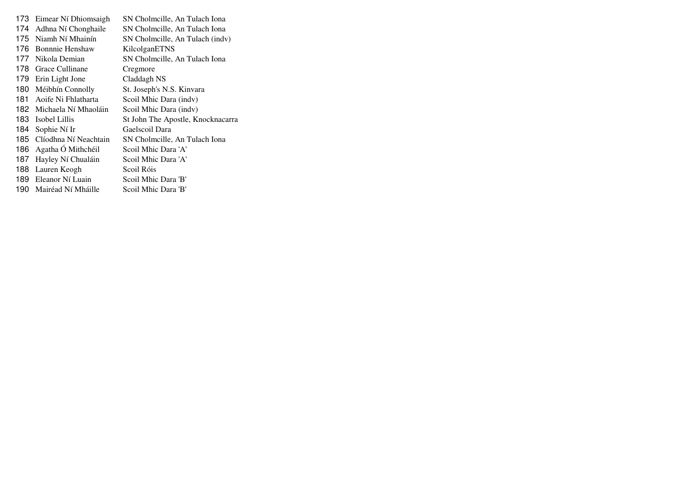|      | 173 Eimear Ní Dhiomsaigh | SN Cholmcille, An Tulach Iona     |
|------|--------------------------|-----------------------------------|
| 174  | Adhna Ní Chonghaile      | SN Cholmcille, An Tulach Iona     |
| 175  | Niamh Ní Mhainín         | SN Cholmcille, An Tulach (indv)   |
| 176  | <b>Bonnnie Henshaw</b>   | KilcolganETNS                     |
| 177  | Nikola Demian            | SN Cholmcille, An Tulach Iona     |
| 178  | Grace Cullinane          | Cregmore                          |
|      | 179 Erin Light Jone      | Claddagh NS                       |
|      | 180 Méibhín Connolly     | St. Joseph's N.S. Kinvara         |
| 181. | Aoife Ni Fhlatharta      | Scoil Mhic Dara (indv)            |
|      | 182 Michaela Ní Mhaoláin | Scoil Mhic Dara (indv)            |
| 183. | Isobel Lillis            | St John The Apostle, Knocknacarra |
| 184  | Sophie Ní Ir             | Gaelscoil Dara                    |
| 185. | Clíodhna Ní Neachtain    | SN Cholmcille, An Tulach Iona     |
| 186  | Agatha Ó Mithchéil       | Scoil Mhic Dara 'A'               |
| 187  | Hayley Ní Chualáin       | Scoil Mhic Dara 'A'               |
| 188. | Lauren Keogh             | Scoil Róis                        |
|      | 189 Eleanor Ní Luain     | Scoil Mhic Dara 'B'               |
|      | 190 Mairéad Ní Mháille   | Scoil Mhic Dara 'B'               |
|      |                          |                                   |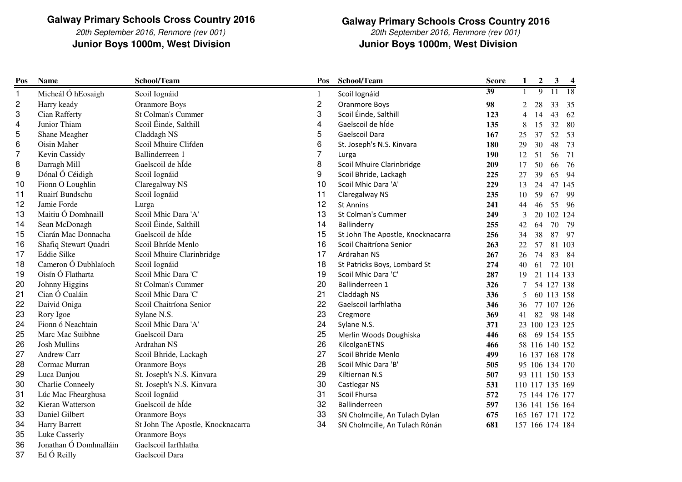20th September 2016, Renmore (rev 001)Junior Boys 1000m, West Division

**Junior Boys 1000m, West Division Junior Boys 1000m, West DivisionGalway Primary Schools Cross Country 2016**20th September 2016, Renmore (rev 001)

| Pos          | <b>Name</b>             | School/Team                       | Pos            | School/Team                       | <b>Score</b>    | 1              | $\boldsymbol{2}$ | $\mathbf{3}$ | $\overline{\mathbf{4}}$ |
|--------------|-------------------------|-----------------------------------|----------------|-----------------------------------|-----------------|----------------|------------------|--------------|-------------------------|
| $\mathbf{1}$ | Micheál Ó hEosaigh      | Scoil Iognáid                     | -1             | Scoil Iognáid                     | $\overline{39}$ |                | $\overline{9}$   | 11           | <sup>18</sup>           |
| 2            | Harry keady             | <b>Oranmore Boys</b>              | $\mathbf 2$    | Oranmore Boys                     | 98              | 2              | 28               | 33           | 35                      |
| 3            | Cian Rafferty           | St Colman's Cummer                | 3              | Scoil Éinde, Salthill             | 123             | $\overline{4}$ | 14               | 43           | 62                      |
| 4            | Junior Thiam            | Scoil Éinde, Salthill             | 4              | Gaelscoil de híde                 | 135             | 8              | 15               | 32           | 80                      |
| 5            | Shane Meagher           | Claddagh NS                       | 5              | Gaelscoil Dara                    | 167             | 25             | 37               | 52           | 53                      |
| 6            | Oisin Maher             | Scoil Mhuire Clifden              | 6              | St. Joseph's N.S. Kinvara         | 180             | 29             | 30               | 48           | 73                      |
| 7            | Kevin Cassidy           | Ballinderreen 1                   | $\overline{7}$ | Lurga                             | 190             | 12             | 51               | 56           | 71                      |
| 8            | Darragh Mill            | Gaelscoil de hÍde                 | 8              | Scoil Mhuire Clarinbridge         | 209             | 17             | 50               | 66           | 76                      |
| 9            | Dónal Ó Céidigh         | Scoil Iognáid                     | 9              | Scoil Bhride, Lackagh             | 225             | 27             | 39               | 65           | 94                      |
| 10           | Fionn O Loughlin        | Claregalway NS                    | 10             | Scoil Mhic Dara 'A'               | 229             | 13             | 24               |              | 47 145                  |
| 11           | Ruairí Bundschu         | Scoil Iognáid                     | 11             | Claregalway NS                    | 235             | 10             | 59               | 67           | 99                      |
| 12           | Jamie Forde             | Lurga                             | 12             | <b>St Annins</b>                  | 241             | 44             | 46               | 55           | -96                     |
| 13           | Maitiu Ó Domhnaill      | Scoil Mhic Dara 'A'               | 13             | <b>St Colman's Cummer</b>         | 249             | 3              | 20               |              | 102 124                 |
| 14           | Sean McDonagh           | Scoil Éinde, Salthill             | 14             | Ballinderry                       | 255             | 42             | 64               | 70           | 79                      |
| 15           | Ciarán Mac Donnacha     | Gaelscoil de hÍde                 | 15             | St John The Apostle, Knocknacarra | 256             | 34             | 38               | 87           | 97                      |
| 16           | Shafiq Stewart Quadri   | Scoil Bhríde Menlo                | 16             | Scoil Chaitríona Senior           | 263             | 22             | 57               |              | 81 103                  |
| 17           | <b>Eddie Silke</b>      | Scoil Mhuire Clarinbridge         | 17             | Ardrahan NS                       | 267             | 26             | 74               | 83           | - 84                    |
| 18           | Cameron Ó Dubhlaíoch    | Scoil Iognáid                     | 18             | St Patricks Boys, Lombard St      | 274             | 40             | 61               |              | 72 101                  |
| 19           | Oisín Ó Flatharta       | Scoil Mhic Dara 'C'               | 19             | Scoil Mhic Dara 'C'               | 287             | 19             |                  |              | 21 114 133              |
| 20           | Johnny Higgins          | St Colman's Cummer                | 20             | Ballinderreen 1                   | 326             |                |                  |              | 54 127 138              |
| 21           | Cian Ó Cualáin          | Scoil Mhic Dara 'C'               | 21             | Claddagh NS                       | 336             | 5              |                  |              | 60 113 158              |
| 22           | Daivid Oniga            | Scoil Chaitríona Senior           | 22             | Gaelscoil Iarfhlatha              | 346             | 36             |                  |              | 77 107 126              |
| 23           | Rory Igoe               | Sylane N.S.                       | 23             | Cregmore                          | 369             | 41             | 82               |              | 98 148                  |
| 24           | Fionn ó Neachtain       | Scoil Mhic Dara 'A'               | 24             | Sylane N.S.                       | 371             |                |                  |              | 23 100 123 125          |
| 25           | Marc Mac Suibhne        | Gaelscoil Dara                    | 25             | Merlin Woods Doughiska            | 446             | 68             |                  |              | 69 154 155              |
| 26           | <b>Josh Mullins</b>     | Ardrahan NS                       | 26             | KilcolganETNS                     | 466             |                |                  |              | 58 116 140 152          |
| 27           | <b>Andrew Carr</b>      | Scoil Bhride, Lackagh             | 27             | Scoil Bhríde Menlo                | 499             |                |                  |              | 16 137 168 178          |
| 28           | Cormac Murran           | <b>Oranmore Boys</b>              | 28             | Scoil Mhic Dara 'B'               | 505             |                |                  |              | 95 106 134 170          |
| 29           | Luca Danjou             | St. Joseph's N.S. Kinvara         | 29             | Kiltiernan N.S                    | 507             |                |                  |              | 93 111 150 153          |
| 30           | <b>Charlie Conneely</b> | St. Joseph's N.S. Kinvara         | 30             | Castlegar NS                      | 531             |                |                  |              | 110 117 135 169         |
| 31           | Lúc Mac Fhearghusa      | Scoil Iognáid                     | 31             | Scoil Fhursa                      | 572             |                |                  |              | 75 144 176 177          |
| 32           | Kieran Watterson        | Gaelscoil de hÍde                 | 32             | Ballinderreen                     | 597             |                |                  |              | 136 141 156 164         |
| 33           | Daniel Gilbert          | <b>Oranmore Boys</b>              | 33             | SN Cholmcille, An Tulach Dylan    | 675             |                |                  |              | 165 167 171 172         |
| 34           | Harry Barrett           | St John The Apostle, Knocknacarra | 34             | SN Cholmcille, An Tulach Rónán    | 681             |                |                  |              | 157 166 174 184         |
| 35           | Luke Casserly           | <b>Oranmore Boys</b>              |                |                                   |                 |                |                  |              |                         |
| 36           | Jonathan Ó Domhnalláin  | Gaelscoil Iarfhlatha              |                |                                   |                 |                |                  |              |                         |
|              |                         |                                   |                |                                   |                 |                |                  |              |                         |

37Ed Ó Reilly Gaelscoil Dara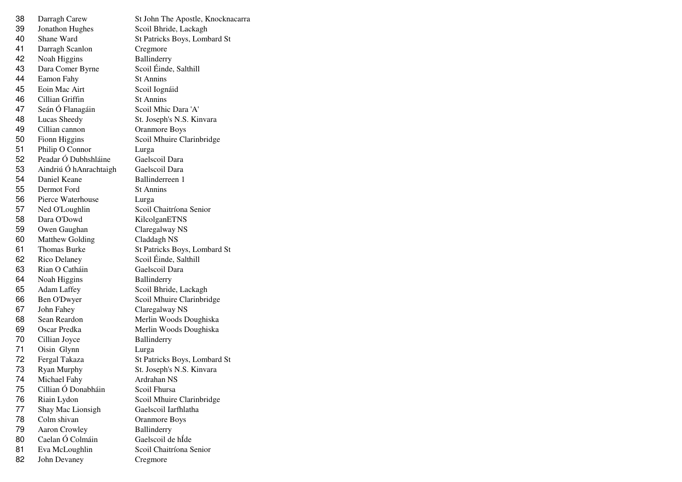| 38 | Darragh Carew          | St John The Apostle, Knocknacarra |
|----|------------------------|-----------------------------------|
| 39 | Jonathon Hughes        | Scoil Bhride, Lackagh             |
| 40 | Shane Ward             | St Patricks Boys, Lombard St      |
| 41 | Darragh Scanlon        | Cregmore                          |
| 42 | Noah Higgins           | Ballinderry                       |
| 43 | Dara Comer Byrne       | Scoil Éinde, Salthill             |
| 44 | Eamon Fahy             | <b>St Annins</b>                  |
| 45 | Eoin Mac Airt          | Scoil Iognáid                     |
| 46 | Cillian Griffin        | <b>St Annins</b>                  |
| 47 | Seán Ó Flanagáin       | Scoil Mhic Dara 'A'               |
| 48 | Lucas Sheedy           | St. Joseph's N.S. Kinvara         |
| 49 | Cillian cannon         | <b>Oranmore Boys</b>              |
| 50 | Fionn Higgins          | Scoil Mhuire Clarinbridge         |
| 51 | Philip O Connor        | Lurga                             |
| 52 | Peadar Ó Dubhshláine   | Gaelscoil Dara                    |
| 53 | Aindriú Ó hAnrachtaigh | Gaelscoil Dara                    |
| 54 | Daniel Keane           | Ballinderreen 1                   |
| 55 | Dermot Ford            | <b>St Annins</b>                  |
| 56 | Pierce Waterhouse      | Lurga                             |
| 57 | Ned O'Loughlin         | Scoil Chaitríona Senior           |
| 58 | Dara O'Dowd            | KilcolganETNS                     |
| 59 | Owen Gaughan           | Claregalway NS                    |
| 60 | <b>Matthew Golding</b> | Claddagh NS                       |
| 61 | <b>Thomas Burke</b>    | St Patricks Boys, Lombard St      |
| 62 | Rico Delaney           | Scoil Éinde, Salthill             |
| 63 | Rian O Catháin         | Gaelscoil Dara                    |
| 64 | Noah Higgins           | Ballinderry                       |
| 65 | <b>Adam Laffey</b>     | Scoil Bhride, Lackagh             |
| 66 | Ben O'Dwyer            | Scoil Mhuire Clarinbridge         |
| 67 | John Fahey             | Claregalway NS                    |
| 68 | Sean Reardon           | Merlin Woods Doughiska            |
| 69 | Oscar Predka           | Merlin Woods Doughiska            |
| 70 | Cillian Joyce          | Ballinderry                       |
| 71 | Oisin Glynn            | Lurga                             |
| 72 | Fergal Takaza          | St Patricks Boys, Lombard St      |
| 73 | Ryan Murphy            | St. Joseph's N.S. Kinvara         |
| 74 | Michael Fahy           | Ardrahan NS                       |
| 75 | Cillian Ó Donabháin    | Scoil Fhursa                      |
| 76 | Riain Lydon            | Scoil Mhuire Clarinbridge         |
| 77 | Shay Mac Lionsigh      | Gaelscoil Iarfhlatha              |
| 78 | Colm shivan            | <b>Oranmore Boys</b>              |
| 79 | <b>Aaron Crowley</b>   | Ballinderry                       |
| 80 | Caelan Ó Colmáin       | Gaelscoil de hÍde                 |
| 81 | Eva McLoughlin         | Scoil Chaitríona Senior           |
| 82 | John Devaney           | Cregmore                          |
|    |                        |                                   |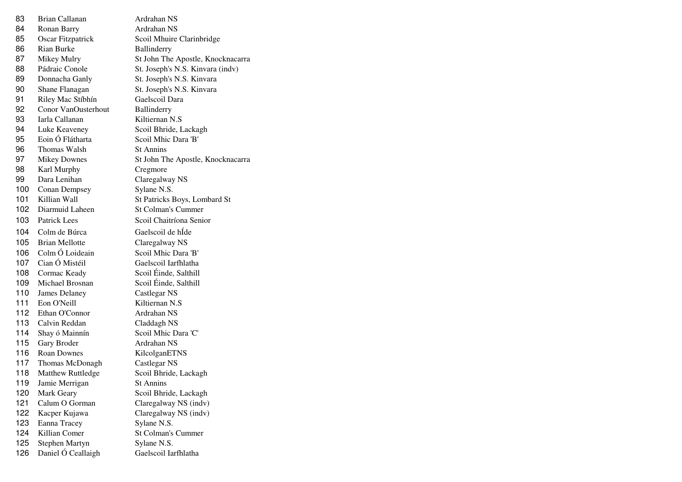| 83  | Brian Callanan        | Ardrahan NS                       |
|-----|-----------------------|-----------------------------------|
| 84  | Ronan Barry           | Ardrahan NS                       |
| 85  | Oscar Fitzpatrick     | Scoil Mhuire Clarinbridge         |
| 86  | Rian Burke            | Ballinderry                       |
| 87  | Mikey Mulry           | St John The Apostle, Knocknacarra |
| 88  | Pádraic Conole        | St. Joseph's N.S. Kinvara (indv)  |
| 89  | Donnacha Ganly        | St. Joseph's N.S. Kinvara         |
| 90  | Shane Flanagan        | St. Joseph's N.S. Kinvara         |
| 91  | Riley Mac Stíbhín     | Gaelscoil Dara                    |
| 92  | Conor VanOusterhout   | Ballinderry                       |
| 93  | Iarla Callanan        | Kiltiernan N.S                    |
| 94  | Luke Keaveney         | Scoil Bhride, Lackagh             |
| 95  | Eoin Ó Flátharta      | Scoil Mhic Dara 'B'               |
| 96  | Thomas Walsh          | <b>St Annins</b>                  |
| 97  | <b>Mikey Downes</b>   | St John The Apostle, Knocknacarra |
| 98  | Karl Murphy           | Cregmore                          |
| 99  | Dara Lenihan          | Claregalway NS                    |
| 100 | <b>Conan Dempsey</b>  | Sylane N.S.                       |
| 101 | Killian Wall          | St Patricks Boys, Lombard St      |
| 102 | Diarmuid Laheen       | <b>St Colman's Cummer</b>         |
| 103 | <b>Patrick Lees</b>   | Scoil Chaitríona Senior           |
| 104 | Colm de Búrca         | Gaelscoil de hÍde                 |
| 105 | <b>Brian Mellotte</b> | Claregalway NS                    |
| 106 | Colm Ó Loideain       | Scoil Mhic Dara 'B'               |
| 107 | Cian Ó Mistéil        | Gaelscoil Iarfhlatha              |
| 108 | Cormac Keady          | Scoil Éinde, Salthill             |
| 109 | Michael Brosnan       | Scoil Éinde, Salthill             |
| 110 | James Delaney         | Castlegar NS                      |
| 111 | Eon O'Neill           | Kiltiernan N.S                    |
| 112 | Ethan O'Connor        | Ardrahan NS                       |
| 113 | Calvin Reddan         | Claddagh NS                       |
| 114 | Shay ó Mainnín        | Scoil Mhic Dara 'C'               |
| 115 | Gary Broder           | Ardrahan NS                       |
| 116 | Roan Downes           | KilcolganETNS                     |
| 117 | Thomas McDonagh       | Castlegar NS                      |
| 118 | Matthew Ruttledge     | Scoil Bhride, Lackagh             |
| 119 | Jamie Merrigan        | <b>St Annins</b>                  |
| 120 | Mark Geary            | Scoil Bhride, Lackagh             |
| 121 | Calum O Gorman        | Claregalway NS (indv)             |
| 122 | Kacper Kujawa         | Claregalway NS (indv)             |
| 123 | Eanna Tracey          | Sylane N.S.                       |
| 124 | Killian Comer         | <b>St Colman's Cummer</b>         |
| 125 | Stephen Martyn        | Sylane N.S.                       |
| 126 | Daniel Ó Ceallaigh    | Gaelscoil Iarfhlatha              |
|     |                       |                                   |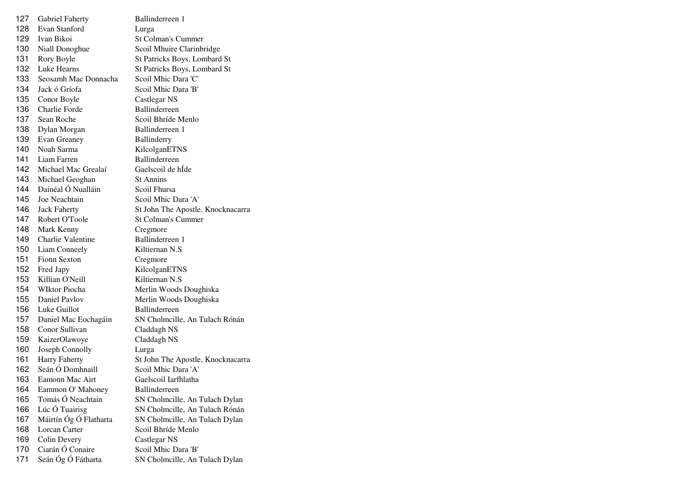| 127 | <b>Gabriel Faherty</b>   | Ballinderreen 1                   |
|-----|--------------------------|-----------------------------------|
| 128 | Evan Stanford            | Lurga                             |
| 129 | Ivan Bikoi               | St Colman's Cummer                |
| 130 | Niall Donoghue           | Scoil Mhuire Clarinbridge         |
| 131 | Rory Boyle               | St Patricks Boys, Lombard St      |
| 132 | <b>Luke Hearns</b>       | St Patricks Boys, Lombard St      |
| 133 | Seosamh Mac Donnacha     | Scoil Mhic Dara 'C'               |
| 134 | Jack ó Gríofa            | Scoil Mhic Dara 'B'               |
| 135 | Conor Boyle              | Castlegar NS                      |
| 136 | <b>Charlie Forde</b>     | <b>Ballinderreen</b>              |
| 137 | Sean Roche               | Scoil Bhríde Menlo                |
| 138 | Dylan Morgan             | Ballinderreen 1                   |
| 139 | Evan Greaney             | Ballinderry                       |
| 140 | Noah Sarma               | KilcolganETNS                     |
| 141 | Liam Farren              | Ballinderreen                     |
| 142 | Michael Mac Grealaí      | Gaelscoil de hÍde                 |
| 143 | Michael Geoghan          | <b>St Annins</b>                  |
| 144 | Dainéal Ó Nualláin       | Scoil Fhursa                      |
| 145 | Joe Neachtain            | Scoil Mhic Dara 'A'               |
| 146 | <b>Jack Faherty</b>      | St John The Apostle, Knocknacarra |
| 147 | Robert O'Toole           | <b>St Colman's Cummer</b>         |
| 148 | Mark Kenny               | Cregmore                          |
| 149 | <b>Charlie Valentine</b> | Ballinderreen 1                   |
| 150 | Liam Conneely            | Kiltiernan N.S.                   |
| 151 | <b>Fionn Sexton</b>      | Cregmore                          |
| 152 | Fred Japy                | KilcolganETNS                     |
| 153 | Killian O'Neill          | Kiltiernan N.S                    |
| 154 | <b>WIktor Piocha</b>     | Merlin Woods Doughiska            |
| 155 | Daniel Paylov            | Merlin Woods Doughiska            |
| 156 | Luke Guillot             | <b>Ballinderreen</b>              |
| 157 | Daniel Mac Eochagáin     | SN Cholmcille, An Tulach Rónán    |
| 158 | Conor Sullivan           | Claddagh NS                       |
| 159 | KaizerOlawoye            | Claddagh NS                       |
| 160 | Joseph Connolly          | Lurga                             |
| 161 | <b>Harry Faherty</b>     | St John The Apostle, Knocknacarra |
| 162 | Seán Ó Domhnaill         | Scoil Mhic Dara 'A'               |
| 163 | Eamonn Mac Airt          | Gaelscoil Iarfhlatha              |
| 164 | Eammon O' Mahoney        | <b>Ballinderreen</b>              |
| 165 | Tomás Ó Neachtain        | SN Cholmcille, An Tulach Dylan    |
| 166 | Lúc Ó Tuairisg           | SN Cholmcille, An Tulach Rónán    |
| 167 | Máirtín Óg Ó Flatharta   | SN Cholmcille, An Tulach Dylan    |
| 168 | Lorcan Carter            | Scoil Bhríde Menlo                |
| 169 | Colin Devery             | Castlegar NS                      |
| 170 | Ciarán Ó Conaire         | Scoil Mhic Dara 'B'               |
| 171 | Seán Óg Ó Fátharta       | SN Cholmcille, An Tulach Dylan    |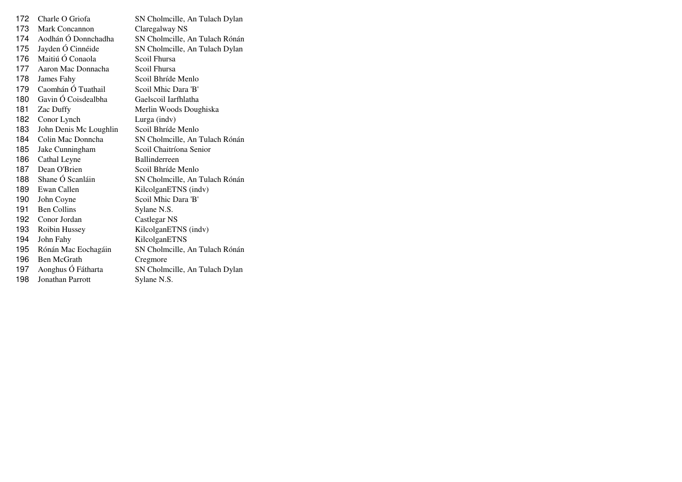| 172 | Charle O Griofa         | SN Cholmcille, An Tulach Dylan |
|-----|-------------------------|--------------------------------|
| 173 | Mark Concannon          | Claregalway NS                 |
| 174 | Aodhán Ó Donnchadha     | SN Cholmcille, An Tulach Rónán |
| 175 | Jayden Ó Cinnéide       | SN Cholmcille, An Tulach Dylan |
| 176 | Maitiú Ó Conaola        | Scoil Fhursa                   |
| 177 | Aaron Mac Donnacha      | Scoil Fhursa                   |
| 178 | James Fahy              | Scoil Bhríde Menlo             |
| 179 | Caomhán Ó Tuathail      | Scoil Mhic Dara 'B'            |
| 180 | Gavin Ó Coisdealbha     | Gaelscoil Iarfhlatha           |
| 181 | Zac Duffy               | Merlin Woods Doughiska         |
| 182 | Conor Lynch             | Lurga (indv)                   |
| 183 | John Denis Mc Loughlin  | Scoil Bhríde Menlo             |
| 184 | Colin Mac Donncha       | SN Cholmcille, An Tulach Rónán |
| 185 | Jake Cunningham         | Scoil Chaitríona Senior        |
| 186 | Cathal Leyne            | <b>Ballinderreen</b>           |
| 187 | Dean O'Brien            | Scoil Bhríde Menlo             |
| 188 | Shane Ó Scanláin        | SN Cholmcille, An Tulach Rónán |
| 189 | Ewan Callen             | KilcolganETNS (indv)           |
| 190 | John Coyne              | Scoil Mhic Dara 'B'            |
| 191 | <b>Ben Collins</b>      | Sylane N.S.                    |
| 192 | Conor Jordan            | Castlegar NS                   |
| 193 | Roibin Hussey           | KilcolganETNS (indv)           |
| 194 | John Fahy               | KilcolganETNS                  |
| 195 | Rónán Mac Eochagáin     | SN Cholmcille, An Tulach Rónán |
| 196 | Ben McGrath             | Cregmore                       |
| 197 | Aonghus Ó Fátharta      | SN Cholmcille, An Tulach Dylan |
| 198 | <b>Jonathan Parrott</b> | Sylane N.S.                    |
|     |                         |                                |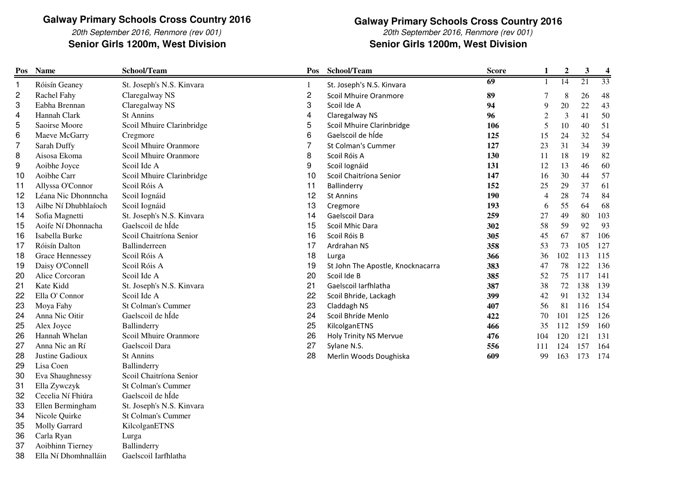20th September 2016, Renmore (rev 001)Senior Girls 1200m, West Division

### **Galway Primary Schools Cross Country 2016**

20th September 2016, Renmore (rev 001)**Senior Girls 1200m, West Division Senior Girls 1200m, West Division**

| Pos            | <b>Name</b>          | School/Team               | Pos                     | School/Team                       | <b>Score</b>    | $\mathbf{1}$   | $\boldsymbol{2}$ | $\mathbf{3}$ | $\boldsymbol{4}$ |
|----------------|----------------------|---------------------------|-------------------------|-----------------------------------|-----------------|----------------|------------------|--------------|------------------|
| 1              | Róisín Geaney        | St. Joseph's N.S. Kinvara |                         | St. Joseph's N.S. Kinvara         | $\overline{69}$ | -1             | $\overline{14}$  | 21           | 33               |
| $\overline{c}$ | Rachel Fahy          | Claregalway NS            | $\overline{\mathbf{c}}$ | Scoil Mhuire Oranmore             | 89              | 7              | $\,$ 8 $\,$      | 26           | 48               |
| 3              | Eabha Brennan        | Claregalway NS            | 3                       | Scoil Ide A                       | 94              | 9              | $20\,$           | 22           | 43               |
| 4              | Hannah Clark         | <b>St Annins</b>          | 4                       | Claregalway NS                    | 96              | $\overline{c}$ | $\mathfrak{Z}$   | 41           | 50               |
| 5              | Saoirse Moore        | Scoil Mhuire Clarinbridge | 5                       | Scoil Mhuire Clarinbridge         | 106             | $\sqrt{5}$     | 10               | 40           | 51               |
| 6              | Maeve McGarry        | Cregmore                  | 6                       | Gaelscoil de híde                 | 125             | 15             | 24               | 32           | 54               |
| 7              | Sarah Duffy          | Scoil Mhuire Oranmore     | 7                       | St Colman's Cummer                | 127             | 23             | 31               | 34           | 39               |
| 8              | Aisosa Ekoma         | Scoil Mhuire Oranmore     | 8                       | Scoil Róis A                      | 130             | 11             | 18               | 19           | 82               |
| 9              | Aoibhe Joyce         | Scoil Ide A               | 9                       | Scoil Iognáid                     | 131             | 12             | 13               | 46           | 60               |
| 10             | Aoibhe Carr          | Scoil Mhuire Clarinbridge | 10                      | Scoil Chaitríona Senior           | 147             | 16             | 30               | 44           | 57               |
| 11             | Allyssa O'Connor     | Scoil Róis A              | 11                      | Ballinderry                       | 152             | 25             | 29               | 37           | 61               |
| 12             | Léana Nic Dhonnncha  | Scoil Iognáid             | 12                      | <b>St Annins</b>                  | 190             | $\overline{4}$ | 28               | 74           | 84               |
| 13             | Ailbe Ní Dhubhlaíoch | Scoil Iognáid             | 13                      | Cregmore                          | 193             | 6              | 55               | 64           | 68               |
| 14             | Sofia Magnetti       | St. Joseph's N.S. Kinvara | 14                      | Gaelscoil Dara                    | 259             | 27             | 49               | 80           | 103              |
| 15             | Aoife Ní Dhonnacha   | Gaelscoil de hÍde         | 15                      | Scoil Mhic Dara                   | 302             | 58             | 59               | 92           | 93               |
| 16             | Isabella Burke       | Scoil Chaitríona Senior   | 16                      | Scoil Róis B                      | 305             | 45             | 67               | 87           | 106              |
| 17             | Róisín Dalton        | Ballinderreen             | 17                      | Ardrahan NS                       | 358             | 53             | 73               | 105          | 127              |
| 18             | Grace Hennessey      | Scoil Róis A              | 18                      | Lurga                             | 366             | 36             | 102              | 113          | 115              |
| 19             | Daisy O'Connell      | Scoil Róis A              | 19                      | St John The Apostle, Knocknacarra | 383             | 47             | 78               | 122          | 136              |
| 20             | Alice Corcoran       | Scoil Ide A               | 20                      | Scoil Ide B                       | 385             | 52             | 75               | 117          | 141              |
| 21             | Kate Kidd            | St. Joseph's N.S. Kinvara | 21                      | Gaelscoil Iarfhlatha              | 387             | 38             | 72               | 138          | 139              |
| 22             | Ella O' Connor       | Scoil Ide A               | 22                      | Scoil Bhride, Lackagh             | 399             | 42             | 91               | 132          | 134              |
| 23             | Moya Fahy            | <b>St Colman's Cummer</b> | 23                      | Claddagh NS                       | 407             | 56             | 81               | 116          | 154              |
| 24             | Anna Nic Oitir       | Gaelscoil de hÍde         | 24                      | Scoil Bhríde Menlo                | 422             | $70\,$         | 101              | 125          | 126              |
| 25             | Alex Joyce           | Ballinderry               | 25                      | KilcolganETNS                     | 466             | 35             | 112              | 159          | 160              |
| 26             | Hannah Whelan        | Scoil Mhuire Oranmore     | 26                      | <b>Holy Trinity NS Mervue</b>     | 476             | 104            | 120              | 121          | 131              |
| 27             | Anna Nic an Rí       | Gaelscoil Dara            | 27                      | Sylane N.S.                       | 556             | 111            | 124              | 157          | 164              |
| 28             | Justine Gadioux      | <b>St Annins</b>          | 28                      | Merlin Woods Doughiska            | 609             | 99             | 163              | 173          | 174              |
| 29             | Lisa Coen            | Ballinderry               |                         |                                   |                 |                |                  |              |                  |
| 30             | Eva Shaughnessy      | Scoil Chaitríona Senior   |                         |                                   |                 |                |                  |              |                  |
| 31             | Ella Zywczyk         | <b>St Colman's Cummer</b> |                         |                                   |                 |                |                  |              |                  |
| 32             | Cecelia Ní Fhiúra    | Gaelscoil de hÍde         |                         |                                   |                 |                |                  |              |                  |
| 33             | Ellen Bermingham     | St. Joseph's N.S. Kinvara |                         |                                   |                 |                |                  |              |                  |
| 34             | Nicole Quirke        | <b>St Colman's Cummer</b> |                         |                                   |                 |                |                  |              |                  |
| 35             | Molly Garrard        | KilcolganETNS             |                         |                                   |                 |                |                  |              |                  |
| 36             | Carla Ryan           | Lurga                     |                         |                                   |                 |                |                  |              |                  |
| 37             | Aoibhinn Tierney     | Ballinderry               |                         |                                   |                 |                |                  |              |                  |

38Ella Ní Dhomhnalláin Gaelscoil Iarfhlatha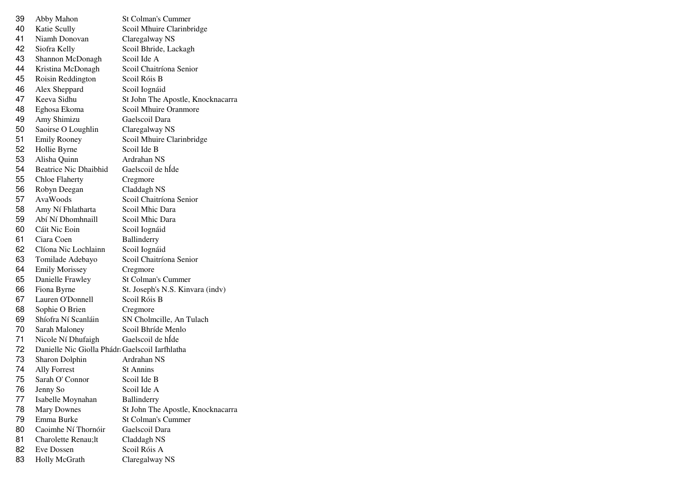| 39 | Abby Mahon                                     | <b>St Colman's Cummer</b>         |
|----|------------------------------------------------|-----------------------------------|
| 40 | Katie Scully                                   | Scoil Mhuire Clarinbridge         |
| 41 | Niamh Donovan                                  | Claregalway NS                    |
| 42 | Siofra Kelly                                   | Scoil Bhride, Lackagh             |
| 43 | Shannon McDonagh                               | Scoil Ide A                       |
| 44 | Kristina McDonagh                              | Scoil Chaitríona Senior           |
| 45 | Roisin Reddington                              | Scoil Róis B                      |
| 46 | Alex Sheppard                                  | Scoil Iognáid                     |
| 47 | Keeva Sidhu                                    | St John The Apostle, Knocknacarra |
| 48 | Eghosa Ekoma                                   | Scoil Mhuire Oranmore             |
| 49 | Amy Shimizu                                    | Gaelscoil Dara                    |
| 50 | Saoirse O Loughlin                             | Claregalway NS                    |
| 51 | <b>Emily Rooney</b>                            | Scoil Mhuire Clarinbridge         |
| 52 | Hollie Byrne                                   | Scoil Ide B                       |
| 53 | Alisha Quinn                                   | Ardrahan NS                       |
| 54 | <b>Beatrice Nic Dhaibhid</b>                   | Gaelscoil de hÍde                 |
| 55 | <b>Chloe Flaherty</b>                          | Cregmore                          |
| 56 | Robyn Deegan                                   | Claddagh NS                       |
| 57 | AvaWoods                                       | Scoil Chaitríona Senior           |
| 58 | Amy Ní Fhlatharta                              | Scoil Mhic Dara                   |
| 59 | Abí Ní Dhomhnaill                              | Scoil Mhic Dara                   |
| 60 | Cáit Nic Eoin                                  | Scoil Iognáid                     |
| 61 | Ciara Coen                                     | Ballinderry                       |
| 62 | Clíona Nic Lochlainn                           | Scoil Iognáid                     |
| 63 | Tomilade Adebayo                               | Scoil Chaitríona Senior           |
| 64 | <b>Emily Morissey</b>                          | Cregmore                          |
| 65 | Danielle Frawley                               | <b>St Colman's Cummer</b>         |
| 66 | Fiona Byrne                                    | St. Joseph's N.S. Kinvara (indv)  |
| 67 | Lauren O'Donnell                               | Scoil Róis B                      |
| 68 | Sophie O Brien                                 | Cregmore                          |
| 69 | Shíofra Ní Scanláin                            | SN Cholmcille, An Tulach          |
| 70 | Sarah Maloney                                  | Scoil Bhríde Menlo                |
| 71 | Nicole Ní Dhufaigh                             | Gaelscoil de hÍde                 |
| 72 | Danielle Nic Giolla Phádr Gaelscoil Iarfhlatha |                                   |
| 73 | Sharon Dolphin                                 | Ardrahan NS                       |
| 74 | <b>Ally Forrest</b>                            | St Annins                         |
| 75 | Sarah O' Connor                                | Scoil Ide B                       |
| 76 | Jenny So                                       | Scoil Ide A                       |
| 77 | Isabelle Moynahan                              | Ballinderry                       |
| 78 | <b>Mary Downes</b>                             | St John The Apostle, Knocknacarra |
| 79 | Emma Burke                                     | St Colman's Cummer                |
| 80 | Caoimhe Ní Thornóir                            | Gaelscoil Dara                    |
| 81 | Charolette Renau;lt                            | Claddagh NS                       |
| 82 | <b>Eve Dossen</b>                              | Scoil Róis A                      |
| 83 | Holly McGrath                                  | Claregalway NS                    |
|    |                                                |                                   |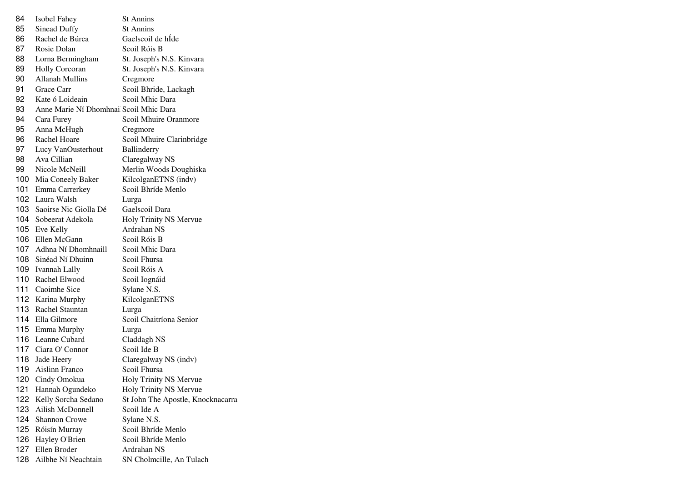| 84  | Isobel Fahey                           | <b>St Annins</b>                  |
|-----|----------------------------------------|-----------------------------------|
| 85  | <b>Sinead Duffy</b>                    | <b>St Annins</b>                  |
| 86  | Rachel de Búrca                        | Gaelscoil de hÍde                 |
| 87  | Rosie Dolan                            | Scoil Róis B                      |
| 88  | Lorna Bermingham                       | St. Joseph's N.S. Kinvara         |
| 89  | Holly Corcoran                         | St. Joseph's N.S. Kinvara         |
| 90  | <b>Allanah Mullins</b>                 | Cregmore                          |
| 91  | Grace Carr                             | Scoil Bhride, Lackagh             |
| 92  | Kate ó Loideain                        | Scoil Mhic Dara                   |
| 93  | Anne Marie Ní Dhomhnai Scoil Mhic Dara |                                   |
| 94  | Cara Furey                             | Scoil Mhuire Oranmore             |
| 95  | Anna McHugh                            | Cregmore                          |
| 96  | Rachel Hoare                           | Scoil Mhuire Clarinbridge         |
| 97  | Lucy VanOusterhout                     | Ballinderry                       |
| 98  | Ava Cillian                            | Claregalway NS                    |
| 99  | Nicole McNeill                         | Merlin Woods Doughiska            |
| 100 | Mia Coneely Baker                      | KilcolganETNS (indv)              |
| 101 | Emma Carrerkey                         | Scoil Bhríde Menlo                |
| 102 | Laura Walsh                            | Lurga                             |
| 103 | Saoirse Nic Giolla Dé                  | Gaelscoil Dara                    |
| 104 | Sobeerat Adekola                       | Holy Trinity NS Mervue            |
|     | 105 Eve Kelly                          | Ardrahan NS                       |
| 106 | Ellen McGann                           | Scoil Róis B                      |
| 107 | Adhna Ní Dhomhnaill                    | Scoil Mhic Dara                   |
| 108 | Sinéad Ní Dhuinn                       | Scoil Fhursa                      |
| 109 | <b>Ivannah Lally</b>                   | Scoil Róis A                      |
| 110 | Rachel Elwood                          | Scoil Iognáid                     |
| 111 | Caoimhe Sice                           | Sylane N.S.                       |
|     | 112 Karina Murphy                      | KilcolganETNS                     |
| 113 | Rachel Stauntan                        | Lurga                             |
| 114 | Ella Gilmore                           | Scoil Chaitríona Senior           |
|     | 115 Emma Murphy                        | Lurga                             |
|     | 116 Leanne Cubard                      | Claddagh NS                       |
|     | 117 Ciara O' Connor                    | Scoil Ide B                       |
| 118 | Jade Heery                             | Claregalway NS (indv)             |
| 119 | Aislinn Franco                         | Scoil Fhursa                      |
|     | 120 Cindy Omokua                       | Holy Trinity NS Mervue            |
| 121 | Hannah Ogundeko                        | Holy Trinity NS Mervue            |
| 122 | Kelly Sorcha Sedano                    | St John The Apostle, Knocknacarra |
| 123 | Ailish McDonnell                       | Scoil Ide A                       |
| 124 | <b>Shannon Crowe</b>                   | Sylane N.S.                       |
| 125 | Róisín Murray                          | Scoil Bhríde Menlo                |
| 126 | Hayley O'Brien                         | Scoil Bhríde Menlo                |
| 127 | Ellen Broder                           | Ardrahan NS                       |
| 128 | Ailbhe Ní Neachtain                    | SN Cholmcille, An Tulach          |
|     |                                        |                                   |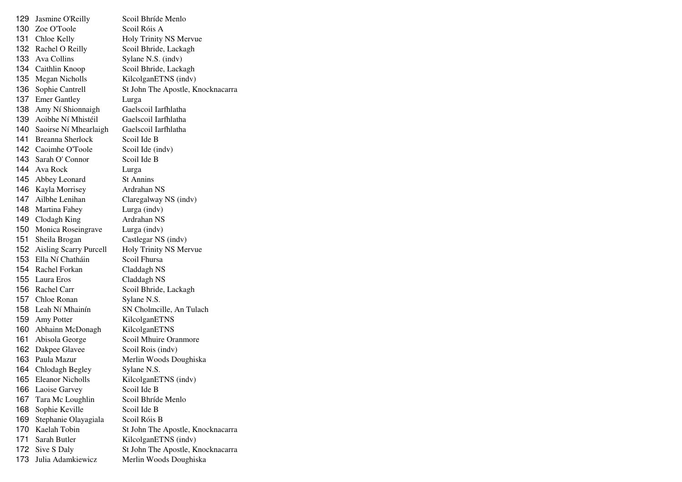| 129 | Jasmine O'Reilly              | Scoil Bhríde Menlo                |
|-----|-------------------------------|-----------------------------------|
|     | 130 Zoe O'Toole               | Scoil Róis A                      |
|     | 131 Chloe Kelly               | Holy Trinity NS Mervue            |
|     | 132 Rachel O Reilly           | Scoil Bhride, Lackagh             |
|     | 133 Ava Collins               | Sylane N.S. (indv)                |
|     | 134 Caithlin Knoop            | Scoil Bhride, Lackagh             |
| 135 | <b>Megan Nicholls</b>         | KilcolganETNS (indv)              |
| 136 | Sophie Cantrell               | St John The Apostle, Knocknacarra |
| 137 | <b>Emer Gantley</b>           | Lurga                             |
| 138 | Amy Ní Shionnaigh             | Gaelscoil Iarfhlatha              |
| 139 | Aoibhe Ní Mhistéil            | Gaelscoil Iarfhlatha              |
| 140 | Saoirse Ní Mhearlaigh         | Gaelscoil Iarfhlatha              |
| 141 | <b>Breanna Sherlock</b>       | Scoil Ide B                       |
|     | 142 Caoimhe O'Toole           | Scoil Ide (indv)                  |
|     | 143 Sarah O' Connor           | Scoil Ide B                       |
|     | 144 Ava Rock                  | Lurga                             |
|     | 145 Abbey Leonard             | <b>St Annins</b>                  |
|     | 146 Kayla Morrisey            | Ardrahan NS                       |
|     | 147 Ailbhe Lenihan            | Claregalway NS (indv)             |
|     | 148 Martina Fahey             | Lurga (indv)                      |
|     | 149 Clodagh King              | Ardrahan NS                       |
| 150 | Monica Roseingrave            | Lurga (indv)                      |
| 151 | Sheila Brogan                 | Castlegar NS (indv)               |
| 152 | <b>Aisling Scarry Purcell</b> | Holy Trinity NS Mervue            |
|     | 153 Ella Ní Chatháin          | Scoil Fhursa                      |
|     | 154 Rachel Forkan             | Claddagh NS                       |
|     | 155 Laura Eros                | Claddagh NS                       |
|     | 156 Rachel Carr               | Scoil Bhride, Lackagh             |
|     | 157 Chloe Ronan               | Sylane N.S.                       |
|     | 158 Leah Ní Mhainín           | SN Cholmcille, An Tulach          |
|     | 159 Amy Potter                | KilcolganETNS                     |
|     | 160 Abhainn McDonagh          | KilcolganETNS                     |
|     | 161 Abisola George            | Scoil Mhuire Oranmore             |
|     | 162 Dakpee Glavee             | Scoil Rois (indv)                 |
|     | 163 Paula Mazur               | Merlin Woods Doughiska            |
|     | 164 Chlodagh Begley           | Sylane N.S.                       |
| 165 | <b>Eleanor Nicholls</b>       | KilcolganETNS (indv)              |
| 166 | Laoise Garvey                 | Scoil Ide B                       |
| 167 | Tara Mc Loughlin              | Scoil Bhríde Menlo                |
| 168 | Sophie Keville                | Scoil Ide B                       |
| 169 | Stephanie Olayagiala          | Scoil Róis B                      |
| 170 | Kaelah Tobin                  | St John The Apostle, Knocknacarra |
| 171 | Sarah Butler                  | KilcolganETNS (indv)              |
| 172 | Sive S Daly                   | St John The Apostle, Knocknacarra |
| 173 | Julia Adamkiewicz             | Merlin Woods Doughiska            |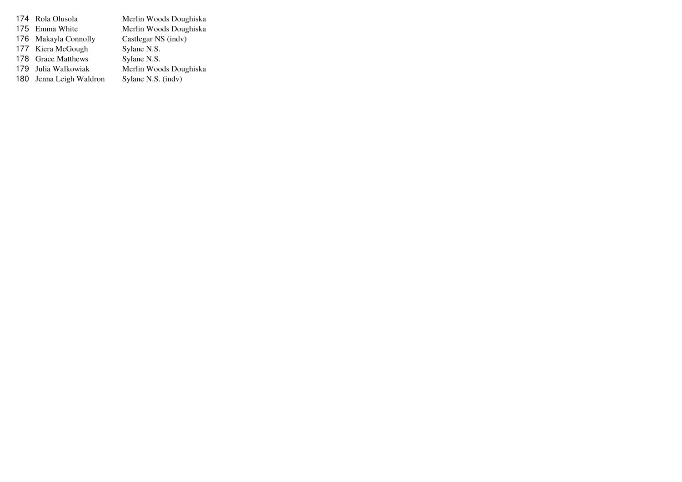174 Rola Olusola Merlin Woods Doughiska 175 Emma White Merlin Woods Doughiska<br>Castlegar NS (indv) 176 Makayla Connolly Castlegar NS (indv) 177 Kiera McGough Sylane N.S. 178 Grace Matthews Sylane N.S. 179 Julia Walkowiak Merlin Woods Doughiska<br>Sylane N.S. (indv) 180 Jenna Leigh Waldron Sylane N.S. (indv)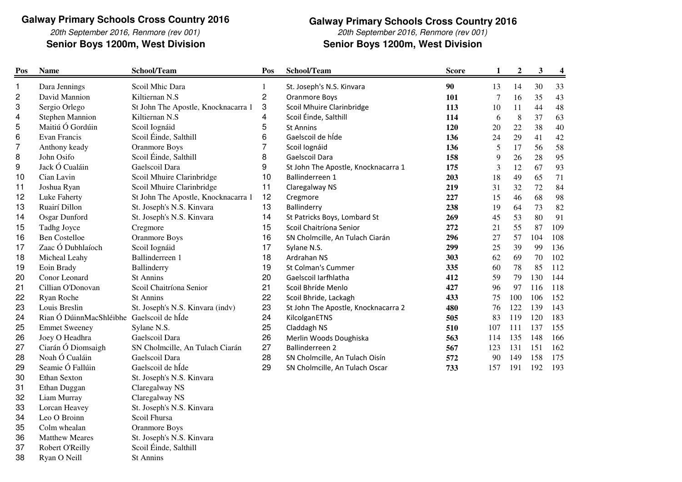20th September 2016, Renmore (rev 001)Senior Boys 1200m, West Division

### **Galway Primary Schools Cross Country 2016**

20th September 2016, Renmore (rev 001)

**Senior Boys 1200m, West Division** 

| Pos | <b>Name</b>                               | School/Team                         | Pos            | School/Team                         | <b>Score</b> | $\mathbf{1}$ | $\boldsymbol{2}$ | $\mathbf{3}$ | $\boldsymbol{4}$ |
|-----|-------------------------------------------|-------------------------------------|----------------|-------------------------------------|--------------|--------------|------------------|--------------|------------------|
| 1   | Dara Jennings                             | Scoil Mhic Dara                     | 1              | St. Joseph's N.S. Kinvara           | 90           | 13           | 14               | 30           | 33               |
| 2   | David Mannion                             | Kiltiernan N.S                      | 2              | Oranmore Boys                       | 101          | 7            | 16               | 35           | 43               |
| 3   | Sergio Orlego                             | St John The Apostle, Knocknacarra 1 | 3              | Scoil Mhuire Clarinbridge           | 113          | 10           | 11               | 44           | 48               |
| 4   | <b>Stephen Mannion</b>                    | Kiltiernan N.S                      | 4              | Scoil Éinde, Salthill               | 114          | 6            | $\,8\,$          | 37           | 63               |
| 5   | Maitiú Ó Gordúin                          | Scoil Iognáid                       | 5              | <b>St Annins</b>                    | 120          | 20           | $22\,$           | 38           | $40\,$           |
| 6   | Evan Francis                              | Scoil Éinde, Salthill               | 6              | Gaelscoil de híde                   | 136          | 24           | 29               | 41           | 42               |
| 7   | Anthony keady                             | <b>Oranmore Boys</b>                | $\overline{7}$ | Scoil Iognáid                       | 136          | 5            | 17               | 56           | 58               |
| 8   | John Osifo                                | Scoil Éinde, Salthill               | 8              | Gaelscoil Dara                      | 158          | 9            | 26               | 28           | 95               |
| 9   | Jack Ó Cualáin                            | Gaelscoil Dara                      | 9              | St John The Apostle, Knocknacarra 1 | 175          | 3            | 12               | 67           | 93               |
| 10  | Cian Lavin                                | Scoil Mhuire Clarinbridge           | 10             | Ballinderreen 1                     | 203          | 18           | 49               | 65           | 71               |
| 11  | Joshua Ryan                               | Scoil Mhuire Clarinbridge           | 11             | Claregalway NS                      | 219          | 31           | 32               | 72           | 84               |
| 12  | Luke Faherty                              | St John The Apostle, Knocknacarra 1 | 12             | Cregmore                            | 227          | 15           | 46               | 68           | 98               |
| 13  | Ruairí Dillon                             | St. Joseph's N.S. Kinvara           | 13             | Ballinderry                         | 238          | 19           | 64               | 73           | 82               |
| 14  | Osgar Dunford                             | St. Joseph's N.S. Kinvara           | 14             | St Patricks Boys, Lombard St        | 269          | 45           | 53               | 80           | 91               |
| 15  | Tadhg Joyce                               | Cregmore                            | 15             | Scoil Chaitríona Senior             | 272          | 21           | 55               | 87           | 109              |
| 16  | <b>Ben Costelloe</b>                      | <b>Oranmore Boys</b>                | 16             | SN Cholmcille, An Tulach Ciarán     | 296          | 27           | 57               | 104          | 108              |
| 17  | Zaac Ó Dubhlaíoch                         | Scoil Iognáid                       | 17             | Sylane N.S.                         | 299          | 25           | 39               | 99           | 136              |
| 18  | Micheal Leahy                             | Ballinderreen 1                     | 18             | Ardrahan NS                         | 303          | 62           | 69               | 70           | 102              |
| 19  | Eoin Brady                                | Ballinderry                         | 19             | St Colman's Cummer                  | 335          | 60           | 78               | 85           | 112              |
| 20  | Conor Leonard                             | <b>St Annins</b>                    | 20             | Gaelscoil Iarfhlatha                | 412          | 59           | 79               | 130          | 144              |
| 21  | Cillian O'Donovan                         | Scoil Chaitríona Senior             | 21             | Scoil Bhríde Menlo                  | 427          | 96           | 97               | 116          | 118              |
| 22  | Ryan Roche                                | <b>St Annins</b>                    | 22             | Scoil Bhride, Lackagh               | 433          | 75           | 100              | 106          | 152              |
| 23  | Louis Breslin                             | St. Joseph's N.S. Kinvara (indv)    | 23             | St John The Apostle, Knocknacarra 2 | 480          | 76           | 122              | 139          | 143              |
| 24  | Rian Ó DúinnMacShléibhe Gaelscoil de hÍde |                                     | 24             | KilcolganETNS                       | 505          | 83           | 119              | 120          | 183              |
| 25  | <b>Emmet Sweeney</b>                      | Sylane N.S.                         | 25             | Claddagh NS                         | 510          | 107          | 111              | 137          | 155              |
| 26  | Joey O Headhra                            | Gaelscoil Dara                      | 26             | Merlin Woods Doughiska              | 563          | 114          | 135              | 148          | 166              |
| 27  | Ciarán Ó Diomsaigh                        | SN Cholmcille, An Tulach Ciarán     | 27             | Ballinderreen 2                     | 567          | 123          | 131              | 151          | 162              |
| 28  | Noah Ó Cualáin                            | Gaelscoil Dara                      | 28             | SN Cholmcille, An Tulach Oisín      | 572          | 90           | 149              | 158          | 175              |
| 29  | Seamie Ó Fallúin                          | Gaelscoil de hÍde                   | 29             | SN Cholmcille, An Tulach Oscar      | 733          | 157          | 191              | 192          | 193              |
| 30  | Ethan Sexton                              | St. Joseph's N.S. Kinvara           |                |                                     |              |              |                  |              |                  |
| 31  | Ethan Duggan                              | Claregalway NS                      |                |                                     |              |              |                  |              |                  |
| 32  | Liam Murray                               | Claregalway NS                      |                |                                     |              |              |                  |              |                  |
| 33  | Lorcan Heavey                             | St. Joseph's N.S. Kinvara           |                |                                     |              |              |                  |              |                  |
| 34  | Leo O Broinn                              | Scoil Fhursa                        |                |                                     |              |              |                  |              |                  |
| 35  | Colm whealan                              | <b>Oranmore Boys</b>                |                |                                     |              |              |                  |              |                  |
| 36  | <b>Matthew Meares</b>                     | St. Joseph's N.S. Kinvara           |                |                                     |              |              |                  |              |                  |
| 37  | Robert O'Reilly                           | Scoil Éinde, Salthill               |                |                                     |              |              |                  |              |                  |
| 38  | Ryan O Neill                              | <b>St Annins</b>                    |                |                                     |              |              |                  |              |                  |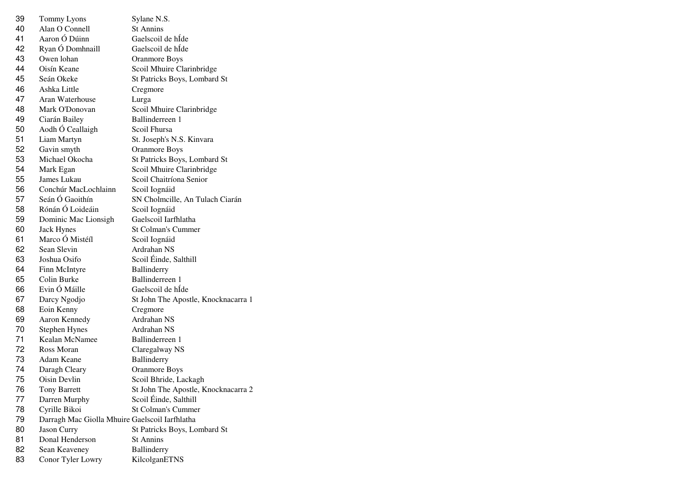| 39 | Tommy Lyons                                    | Sylane N.S.                         |
|----|------------------------------------------------|-------------------------------------|
| 40 | Alan O Connell                                 | <b>St Annins</b>                    |
| 41 | Aaron Ó Dúinn                                  | Gaelscoil de hÍde                   |
| 42 | Ryan Ó Domhnaill                               | Gaelscoil de hÍde                   |
| 43 | Owen lohan                                     | Oranmore Boys                       |
| 44 | Oisín Keane                                    | Scoil Mhuire Clarinbridge           |
| 45 | Seán Okeke                                     | St Patricks Boys, Lombard St        |
| 46 | Ashka Little                                   | Cregmore                            |
| 47 | Aran Waterhouse                                | Lurga                               |
| 48 | Mark O'Donovan                                 | Scoil Mhuire Clarinbridge           |
| 49 | Ciarán Bailey                                  | Ballinderreen 1                     |
| 50 | Aodh Ó Ceallaigh                               | Scoil Fhursa                        |
| 51 | Liam Martyn                                    | St. Joseph's N.S. Kinvara           |
| 52 | Gavin smyth                                    | <b>Oranmore Boys</b>                |
| 53 | Michael Okocha                                 | St Patricks Boys, Lombard St        |
| 54 | Mark Egan                                      | Scoil Mhuire Clarinbridge           |
| 55 | James Lukau                                    | Scoil Chaitríona Senior             |
| 56 | Conchúr MacLochlainn                           | Scoil Iognáid                       |
| 57 | Seán Ó Gaoithín                                | SN Cholmcille, An Tulach Ciarán     |
| 58 | Rónán Ó Loideáin                               | Scoil Iognáid                       |
| 59 | Dominic Mac Lionsigh                           | Gaelscoil Iarfhlatha                |
| 60 | <b>Jack Hynes</b>                              | <b>St Colman's Cummer</b>           |
| 61 | Marco Ó Mistéíl                                | Scoil Iognáid                       |
| 62 | Sean Slevin                                    | Ardrahan NS                         |
| 63 | Joshua Osifo                                   | Scoil Éinde, Salthill               |
| 64 | Finn McIntyre                                  | Ballinderry                         |
| 65 | Colin Burke                                    | Ballinderreen 1                     |
| 66 | Evin Ó Máille                                  | Gaelscoil de hÍde                   |
| 67 | Darcy Ngodjo                                   | St John The Apostle, Knocknacarra 1 |
| 68 | Eoin Kenny                                     | Cregmore                            |
| 69 | Aaron Kennedy                                  | Ardrahan NS                         |
| 70 | Stephen Hynes                                  | Ardrahan NS                         |
| 71 | Kealan McNamee                                 | Ballinderreen 1                     |
| 72 | Ross Moran                                     | Claregalway NS                      |
| 73 | Adam Keane                                     | Ballinderry                         |
| 74 | Daragh Cleary                                  | <b>Oranmore Boys</b>                |
| 75 | Oisin Devlin                                   | Scoil Bhride, Lackagh               |
| 76 | <b>Tony Barrett</b>                            | St John The Apostle, Knocknacarra 2 |
| 77 | Darren Murphy                                  | Scoil Éinde, Salthill               |
| 78 | Cyrille Bikoi                                  | <b>St Colman's Cummer</b>           |
| 79 | Darragh Mac Giolla Mhuire Gaelscoil Iarfhlatha |                                     |
| 80 | Jason Curry                                    | St Patricks Boys, Lombard St        |
| 81 | Donal Henderson                                | <b>St Annins</b>                    |
| 82 | Sean Keaveney                                  | Ballinderry                         |
| 83 | Conor Tyler Lowry                              | KilcolganETNS                       |
|    |                                                |                                     |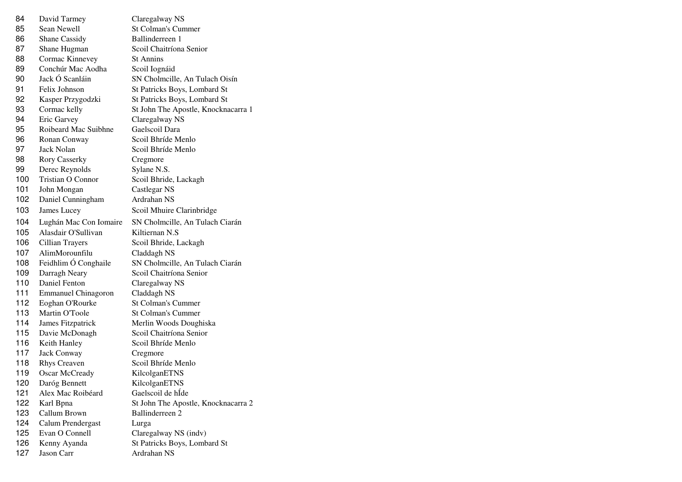| 84  | David Tarmey               | Claregalway NS                      |
|-----|----------------------------|-------------------------------------|
| 85  | Sean Newell                | <b>St Colman's Cummer</b>           |
| 86  | <b>Shane Cassidy</b>       | Ballinderreen 1                     |
| 87  | Shane Hugman               | Scoil Chaitríona Senior             |
| 88  | Cormac Kinnevey            | <b>St Annins</b>                    |
| 89  | Conchúr Mac Aodha          | Scoil Iognáid                       |
| 90  | Jack Ó Scanláin            | SN Cholmcille, An Tulach Oisín      |
| 91  | Felix Johnson              | St Patricks Boys, Lombard St        |
| 92  | Kasper Przygodzki          | St Patricks Boys, Lombard St        |
| 93  | Cormac kelly               | St John The Apostle, Knocknacarra 1 |
| 94  | Eric Garvey                | Claregalway NS                      |
| 95  | Roibeard Mac Suibhne       | Gaelscoil Dara                      |
| 96  | Ronan Conway               | Scoil Bhríde Menlo                  |
| 97  | Jack Nolan                 | Scoil Bhríde Menlo                  |
| 98  | <b>Rory Casserky</b>       | Cregmore                            |
| 99  | Derec Reynolds             | Sylane N.S.                         |
| 100 | <b>Tristian O Connor</b>   | Scoil Bhride, Lackagh               |
| 101 | John Mongan                | Castlegar NS                        |
| 102 | Daniel Cunningham          | Ardrahan NS                         |
| 103 | James Lucey                | Scoil Mhuire Clarinbridge           |
| 104 | Lughán Mac Con Iomaire     | SN Cholmcille, An Tulach Ciarán     |
| 105 | Alasdair O'Sullivan        | Kiltiernan N.S                      |
| 106 | Cillian Trayers            | Scoil Bhride, Lackagh               |
| 107 | AlimMorounfilu             | Claddagh NS                         |
| 108 | Feidhlim Ó Conghaile       | SN Cholmcille, An Tulach Ciarán     |
| 109 | Darragh Neary              | Scoil Chaitríona Senior             |
| 110 | Daniel Fenton              | Claregalway NS                      |
| 111 | <b>Emmanuel Chinagoron</b> | Claddagh NS                         |
| 112 | Eoghan O'Rourke            | St Colman's Cummer                  |
| 113 | Martin O'Toole             | <b>St Colman's Cummer</b>           |
| 114 | James Fitzpatrick          | Merlin Woods Doughiska              |
| 115 | Davie McDonagh             | Scoil Chaitríona Senior             |
| 116 | Keith Hanley               | Scoil Bhríde Menlo                  |
| 117 | <b>Jack Conway</b>         | Cregmore                            |
| 118 | <b>Rhys Creaven</b>        | Scoil Bhríde Menlo                  |
| 119 | <b>Oscar McCready</b>      | KilcolganETNS                       |
| 120 | Daróg Bennett              | KilcolganETNS                       |
| 121 | Alex Mac Roibéard          | Gaelscoil de hÍde                   |
| 122 | Karl Bpna                  | St John The Apostle, Knocknacarra 2 |
| 123 | Callum Brown               | Ballinderreen 2                     |
|     |                            |                                     |
| 124 | Calum Prendergast          | Lurga                               |
| 125 | Evan O Connell             | Claregalway NS (indv)               |
| 126 | Kenny Ayanda               | St Patricks Boys, Lombard St        |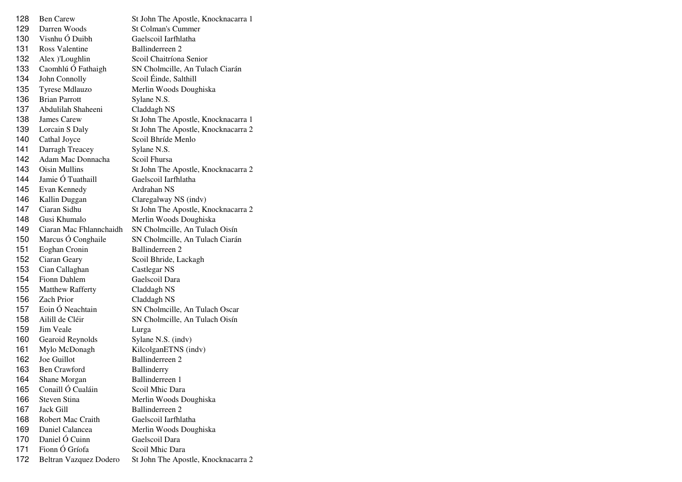| 128 | <b>Ben Carew</b>        | St John The Apostle, Knocknacarra 1 |
|-----|-------------------------|-------------------------------------|
| 129 | Darren Woods            | <b>St Colman's Cummer</b>           |
| 130 | Visnhu Ó Duibh          | Gaelscoil Iarfhlatha                |
| 131 | <b>Ross Valentine</b>   | Ballinderreen 2                     |
| 132 | Alex )'Loughlin         | Scoil Chaitríona Senior             |
| 133 | Caomhlú Ó Fathaigh      | SN Cholmcille, An Tulach Ciarán     |
| 134 | John Connolly           | Scoil Éinde, Salthill               |
| 135 | Tyrese Mdlauzo          | Merlin Woods Doughiska              |
| 136 | <b>Brian Parrott</b>    | Sylane N.S.                         |
| 137 | Abdulilah Shaheeni      | Claddagh NS                         |
| 138 | James Carew             | St John The Apostle, Knocknacarra 1 |
| 139 | Lorcain S Daly          | St John The Apostle, Knocknacarra 2 |
| 140 | Cathal Joyce            | Scoil Bhríde Menlo                  |
| 141 | Darragh Treacey         | Sylane N.S.                         |
| 142 | Adam Mac Donnacha       | Scoil Fhursa                        |
| 143 | <b>Oisin Mullins</b>    | St John The Apostle, Knocknacarra 2 |
| 144 | Jamie Ó Tuathaill       | Gaelscoil Iarfhlatha                |
| 145 | Evan Kennedy            | Ardrahan NS                         |
| 146 | Kallin Duggan           | Claregalway NS (indv)               |
| 147 | Ciaran Sidhu            | St John The Apostle, Knocknacarra 2 |
| 148 | Gusi Khumalo            | Merlin Woods Doughiska              |
| 149 | Ciaran Mac Fhlannchaidh | SN Cholmcille, An Tulach Oisín      |
| 150 | Marcus Ó Conghaile      | SN Cholmcille, An Tulach Ciarán     |
| 151 | Eoghan Cronin           | Ballinderreen 2                     |
| 152 | Ciaran Geary            | Scoil Bhride, Lackagh               |
| 153 | Cian Callaghan          | Castlegar NS                        |
| 154 | Fionn Dahlem            | Gaelscoil Dara                      |
| 155 | <b>Matthew Rafferty</b> | Claddagh NS                         |
| 156 | <b>Zach Prior</b>       | Claddagh NS                         |
| 157 | Eoin Ó Neachtain        | SN Cholmcille, An Tulach Oscar      |
| 158 | Ailill de Cléir         | SN Cholmcille, An Tulach Oisín      |
| 159 | Jim Veale               | Lurga                               |
| 160 | Gearoid Reynolds        | Sylane N.S. (indv)                  |
| 161 | Mylo McDonagh           | KilcolganETNS (indv)                |
| 162 | Joe Guillot             | Ballinderreen 2                     |
| 163 | <b>Ben Crawford</b>     | Ballinderry                         |
| 164 | Shane Morgan            | Ballinderreen 1                     |
| 165 | Conaill Ó Cualáin       | Scoil Mhic Dara                     |
| 166 | Steven Stina            | Merlin Woods Doughiska              |
| 167 | Jack Gill               | Ballinderreen 2                     |
| 168 | Robert Mac Craith       | Gaelscoil Iarfhlatha                |
| 169 | Daniel Calancea         | Merlin Woods Doughiska              |
| 170 | Daniel Ó Cuinn          | Gaelscoil Dara                      |
| 171 | Fionn Ó Gríofa          | Scoil Mhic Dara                     |
| 172 | Beltran Vazquez Dodero  | St John The Apostle, Knocknacarra 2 |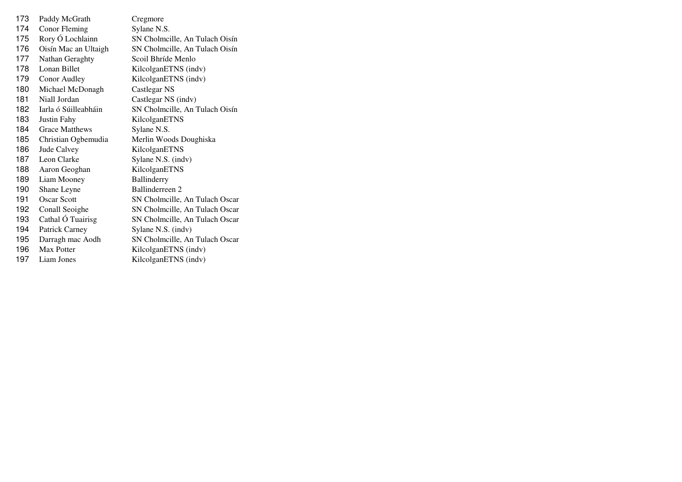| 173 | Paddy McGrath         | Cregmore                       |
|-----|-----------------------|--------------------------------|
| 174 | Conor Fleming         | Sylane N.S.                    |
| 175 | Rory Ó Lochlainn      | SN Cholmcille, An Tulach Oisín |
| 176 | Oisín Mac an Ultaigh  | SN Cholmcille, An Tulach Oisín |
| 177 | Nathan Geraghty       | Scoil Bhríde Menlo             |
| 178 | Lonan Billet          | KilcolganETNS (indv)           |
| 179 | Conor Audley          | KilcolganETNS (indv)           |
| 180 | Michael McDonagh      | Castlegar NS                   |
| 181 | Niall Jordan          | Castlegar NS (indv)            |
| 182 | Iarla ó Súilleabháin  | SN Cholmcille, An Tulach Oisín |
| 183 | Justin Fahy           | KilcolganETNS                  |
| 184 | <b>Grace Matthews</b> | Sylane N.S.                    |
| 185 | Christian Ogbemudia   | Merlin Woods Doughiska         |
| 186 | Jude Calvey           | KilcolganETNS                  |
| 187 | Leon Clarke           | Sylane N.S. (indv)             |
| 188 | Aaron Geoghan         | KilcolganETNS                  |
| 189 | Liam Mooney           | Ballinderry                    |
| 190 | Shane Leyne           | Ballinderreen 2                |
| 191 | <b>Oscar Scott</b>    | SN Cholmcille, An Tulach Oscar |
| 192 | Conall Seoighe        | SN Cholmcille, An Tulach Oscar |
| 193 | Cathal Ó Tuairisg     | SN Cholmcille, An Tulach Oscar |
| 194 | Patrick Carney        | Sylane N.S. (indv)             |
| 195 | Darragh mac Aodh      | SN Cholmcille, An Tulach Oscar |
| 196 | Max Potter            | KilcolganETNS (indv)           |
| 197 | Liam Jones            | KilcolganETNS (indv)           |
|     |                       |                                |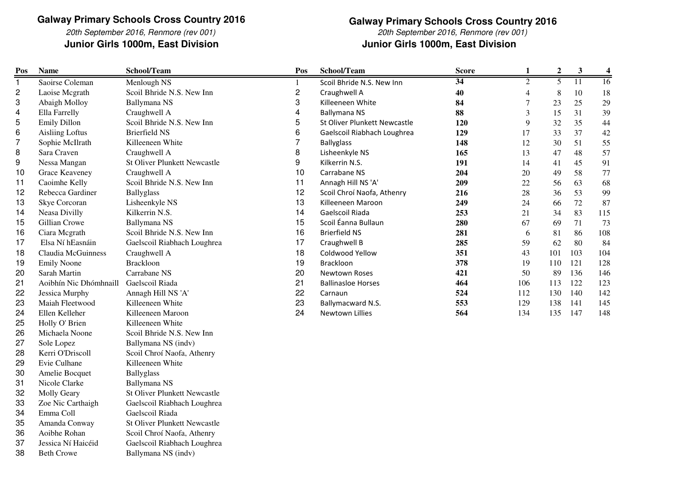20th September 2016, Renmore (rev 001)**Junior Girls 1000m, East Division Junior Girls 1000m, East Division**

**Galway Primary Schools Cross Country 2016** 20th September 2016, Renmore (rev 001)

| Pos          | <b>Name</b>            | School/Team                         | Pos                     | School/Team                  | <b>Score</b>    | 1              | $\boldsymbol{2}$ | $\mathbf{3}$    | $\overline{\mathbf{4}}$ |
|--------------|------------------------|-------------------------------------|-------------------------|------------------------------|-----------------|----------------|------------------|-----------------|-------------------------|
| $\mathbf{1}$ | Saoirse Coleman        | Menlough NS                         | 1                       | Scoil Bhride N.S. New Inn    | $\overline{34}$ | $\overline{2}$ | 5                | $\overline{11}$ | 16                      |
| 2            | Laoise Mcgrath         | Scoil Bhride N.S. New Inn           | $\overline{\mathbf{c}}$ | Craughwell A                 | 40              | $\overline{4}$ | 8                | 10              | 18                      |
| 3            | Abaigh Molloy          | Ballymana NS                        | 3                       | Killeeneen White             | 84              | 7              | 23               | 25              | 29                      |
| 4            | Ella Farrelly          | Craughwell A                        | 4                       | <b>Ballymana NS</b>          | 88              | 3              | 15               | 31              | 39                      |
| 5            | <b>Emily Dillon</b>    | Scoil Bhride N.S. New Inn           | 5                       | St Oliver Plunkett Newcastle | 120             | 9              | 32               | 35              | 44                      |
| 6            | <b>Aisling Loftus</b>  | <b>Brierfield NS</b>                | 6                       | Gaelscoil Riabhach Loughrea  | 129             | 17             | 33               | 37              | 42                      |
| 7            | Sophie McIlrath        | Killeeneen White                    | 7                       | <b>Ballyglass</b>            | 148             | 12             | 30               | 51              | 55                      |
| 8            | Sara Craven            | Craughwell A                        | 8                       | Lisheenkyle NS               | 165             | 13             | 47               | 48              | 57                      |
| 9            | Nessa Mangan           | <b>St Oliver Plunkett Newcastle</b> | 9                       | Kilkerrin N.S.               | 191             | 14             | 41               | 45              | 91                      |
| 10           | Grace Keaveney         | Craughwell A                        | 10                      | Carrabane NS                 | 204             | 20             | 49               | 58              | 77                      |
| 11           | Caoimhe Kelly          | Scoil Bhride N.S. New Inn           | 11                      | Annagh Hill NS 'A'           | 209             | 22             | 56               | 63              | 68                      |
| 12           | Rebecca Gardiner       | <b>Ballyglass</b>                   | 12                      | Scoil Chroí Naofa, Athenry   | 216             | 28             | 36               | 53              | 99                      |
| 13           | Skye Corcoran          | Lisheenkyle NS                      | 13                      | Killeeneen Maroon            | 249             | 24             | 66               | 72              | 87                      |
| 14           | Neasa Divilly          | Kilkerrin N.S.                      | 14                      | Gaelscoil Riada              | 253             | 21             | 34               | 83              | 115                     |
| 15           | Gillian Crowe          | Ballymana NS                        | 15                      | Scoil Éanna Bullaun          | 280             | 67             | 69               | 71              | 73                      |
| 16           | Ciara Mcgrath          | Scoil Bhride N.S. New Inn           | 16                      | <b>Brierfield NS</b>         | 281             | 6              | 81               | 86              | 108                     |
| 17           | Elsa Ní hEasnáin       | Gaelscoil Riabhach Loughrea         | 17                      | Craughwell B                 | 285             | 59             | 62               | 80              | 84                      |
| 18           | Claudia McGuinness     | Craughwell A                        | 18                      | Coldwood Yellow              | 351             | 43             | 101              | 103             | 104                     |
| 19           | <b>Emily Noone</b>     | <b>Brackloon</b>                    | 19                      | Brackloon                    | 378             | 19             | 110              | 121             | 128                     |
| 20           | Sarah Martin           | Carrabane NS                        | 20                      | Newtown Roses                | 421             | 50             | 89               | 136             | 146                     |
| 21           | Aoibhín Nic Dhómhnaill | Gaelscoil Riada                     | 21                      | <b>Ballinasloe Horses</b>    | 464             | 106            | 113              | 122             | 123                     |
| 22           | Jessica Murphy         | Annagh Hill NS 'A'                  | 22                      | Carnaun                      | 524             | 112            | 130              | 140             | 142                     |
| 23           | Maiah Fleetwood        | Killeeneen White                    | 23                      | Ballymacward N.S.            | 553             | 129            | 138              | 141             | 145                     |
| 24           | Ellen Kelleher         | Killeeneen Maroon                   | 24                      | Newtown Lillies              | 564             | 134            | 135              | 147             | 148                     |
| 25           | Holly O' Brien         | Killeeneen White                    |                         |                              |                 |                |                  |                 |                         |
| 26           | Michaela Noone         | Scoil Bhride N.S. New Inn           |                         |                              |                 |                |                  |                 |                         |
| 27           | Sole Lopez             | Ballymana NS (indv)                 |                         |                              |                 |                |                  |                 |                         |
| 28           | Kerri O'Driscoll       | Scoil Chroí Naofa, Athenry          |                         |                              |                 |                |                  |                 |                         |
| 29           | Evie Culhane           | Killeeneen White                    |                         |                              |                 |                |                  |                 |                         |
| 30           | Amelie Bocquet         | <b>Ballyglass</b>                   |                         |                              |                 |                |                  |                 |                         |
| 31           | Nicole Clarke          | Ballymana NS                        |                         |                              |                 |                |                  |                 |                         |
| 32           | <b>Molly Geary</b>     | <b>St Oliver Plunkett Newcastle</b> |                         |                              |                 |                |                  |                 |                         |
| 33           | Zoe Nic Carthaigh      | Gaelscoil Riabhach Loughrea         |                         |                              |                 |                |                  |                 |                         |
| 34           | Emma Coll              | Gaelscoil Riada                     |                         |                              |                 |                |                  |                 |                         |
| 35           | Amanda Conway          | <b>St Oliver Plunkett Newcastle</b> |                         |                              |                 |                |                  |                 |                         |
| 36           | Aoibhe Rohan           | Scoil Chroí Naofa, Athenry          |                         |                              |                 |                |                  |                 |                         |
| 37           | Jessica Ní Haicéid     | Gaelscoil Riabhach Loughrea         |                         |                              |                 |                |                  |                 |                         |
| 38           | <b>Beth Crowe</b>      | Ballymana NS (indv)                 |                         |                              |                 |                |                  |                 |                         |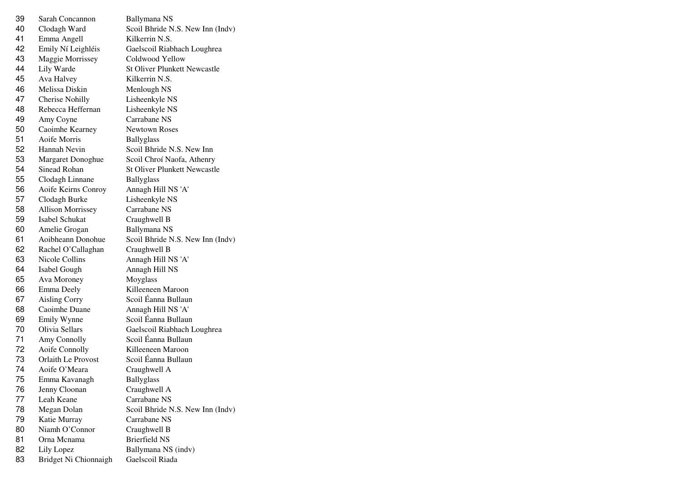| 39 | Sarah Concannon          | Ballymana NS                        |
|----|--------------------------|-------------------------------------|
| 40 | Clodagh Ward             | Scoil Bhride N.S. New Inn (Indv)    |
| 41 | Emma Angell              | Kilkerrin N.S.                      |
| 42 | Emily Ní Leighléis       | Gaelscoil Riabhach Loughrea         |
| 43 | Maggie Morrissey         | Coldwood Yellow                     |
| 44 | Lily Warde               | <b>St Oliver Plunkett Newcastle</b> |
| 45 | Ava Halvey               | Kilkerrin N.S.                      |
| 46 | Melissa Diskin           | Menlough NS                         |
| 47 | <b>Cherise Nohilly</b>   | Lisheenkyle NS                      |
| 48 | Rebecca Heffernan        | Lisheenkyle NS                      |
| 49 | Amy Coyne                | Carrabane NS                        |
| 50 | Caoimhe Kearney          | <b>Newtown Roses</b>                |
| 51 | Aoife Morris             | <b>Ballyglass</b>                   |
| 52 | Hannah Nevin             | Scoil Bhride N.S. New Inn           |
| 53 | Margaret Donoghue        | Scoil Chroí Naofa, Athenry          |
| 54 | Sinead Rohan             | <b>St Oliver Plunkett Newcastle</b> |
| 55 | Clodagh Linnane          | <b>Ballyglass</b>                   |
| 56 | Aoife Keirns Conroy      | Annagh Hill NS 'A'                  |
| 57 | Clodagh Burke            | Lisheenkyle NS                      |
| 58 | <b>Allison Morrissey</b> | Carrabane NS                        |
| 59 | Isabel Schukat           | Craughwell B                        |
| 60 | Amelie Grogan            | Ballymana NS                        |
| 61 | Aoibheann Donohue        | Scoil Bhride N.S. New Inn (Indv)    |
| 62 | Rachel O'Callaghan       | Craughwell B                        |
| 63 | Nicole Collins           | Annagh Hill NS 'A'                  |
| 64 | Isabel Gough             | Annagh Hill NS                      |
| 65 | Ava Moroney              | Moyglass                            |
| 66 | Emma Deely               | Killeeneen Maroon                   |
| 67 | <b>Aisling Corry</b>     | Scoil Éanna Bullaun                 |
| 68 | Caoimhe Duane            | Annagh Hill NS 'A'                  |
| 69 | Emily Wynne              | Scoil Éanna Bullaun                 |
| 70 | Olivia Sellars           | Gaelscoil Riabhach Loughrea         |
| 71 | Amy Connolly             | Scoil Éanna Bullaun                 |
| 72 | Aoife Connolly           | Killeeneen Maroon                   |
| 73 | Orlaith Le Provost       | Scoil Éanna Bullaun                 |
| 74 | Aoife O'Meara            | Craughwell A                        |
| 75 | Emma Kavanagh            | <b>Ballyglass</b>                   |
| 76 | Jenny Cloonan            | Craughwell A                        |
| 77 | Leah Keane               | Carrabane NS                        |
| 78 | Megan Dolan              | Scoil Bhride N.S. New Inn (Indv)    |
| 79 | Katie Murray             | Carrabane NS                        |
| 80 | Niamh O'Connor           | Craughwell B                        |
| 81 | Orna Mcnama              | <b>Brierfield NS</b>                |
| 82 | Lily Lopez               | Ballymana NS (indv)                 |
| 83 | Bridget Ni Chionnaigh    | Gaelscoil Riada                     |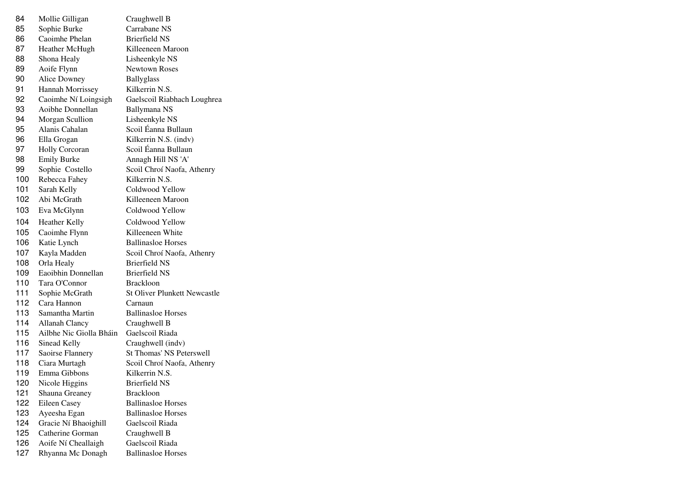| 84  | Mollie Gilligan         | Craughwell B                        |
|-----|-------------------------|-------------------------------------|
| 85  | Sophie Burke            | Carrabane NS                        |
| 86  | Caoimhe Phelan          | <b>Brierfield NS</b>                |
| 87  | Heather McHugh          | Killeeneen Maroon                   |
| 88  | Shona Healy             | Lisheenkyle NS                      |
| 89  | Aoife Flynn             | <b>Newtown Roses</b>                |
| 90  | Alice Downey            | <b>Ballyglass</b>                   |
| 91  | Hannah Morrissey        | Kilkerrin N.S.                      |
| 92  | Caoimhe Ní Loingsigh    | Gaelscoil Riabhach Loughrea         |
| 93  | Aoibhe Donnellan        | Ballymana NS                        |
| 94  | Morgan Scullion         | Lisheenkyle NS                      |
| 95  | Alanis Cahalan          | Scoil Éanna Bullaun                 |
| 96  | Ella Grogan             | Kilkerrin N.S. (indv)               |
| 97  | <b>Holly Corcoran</b>   | Scoil Éanna Bullaun                 |
| 98  | <b>Emily Burke</b>      | Annagh Hill NS 'A'                  |
| 99  | Sophie Costello         | Scoil Chroí Naofa, Athenry          |
| 100 | Rebecca Fahey           | Kilkerrin N.S.                      |
| 101 | Sarah Kelly             | Coldwood Yellow                     |
| 102 | Abi McGrath             | Killeeneen Maroon                   |
| 103 | Eva McGlynn             | Coldwood Yellow                     |
| 104 | <b>Heather Kelly</b>    | Coldwood Yellow                     |
| 105 | Caoimhe Flynn           | Killeeneen White                    |
| 106 | Katie Lynch             | <b>Ballinasloe Horses</b>           |
| 107 | Kayla Madden            | Scoil Chroí Naofa, Athenry          |
| 108 | Orla Healy              | <b>Brierfield NS</b>                |
| 109 | Eaoibhin Donnellan      | <b>Brierfield NS</b>                |
| 110 | Tara O'Connor           | <b>Brackloon</b>                    |
| 111 | Sophie McGrath          | <b>St Oliver Plunkett Newcastle</b> |
| 112 | Cara Hannon             | Carnaun                             |
| 113 | Samantha Martin         | <b>Ballinasloe Horses</b>           |
| 114 | <b>Allanah Clancy</b>   | Craughwell B                        |
| 115 | Ailbhe Nic Giolla Bháin | Gaelscoil Riada                     |
| 116 | Sinead Kelly            | Craughwell (indv)                   |
| 117 | Saoirse Flannery        | <b>St Thomas' NS Peterswell</b>     |
| 118 | Ciara Murtagh           | Scoil Chroí Naofa, Athenry          |
| 119 | Emma Gibbons            | Kilkerrin N.S.                      |
| 120 | Nicole Higgins          | <b>Brierfield NS</b>                |
| 121 | Shauna Greaney          | <b>Brackloon</b>                    |
| 122 | Eileen Casey            | <b>Ballinasloe Horses</b>           |
| 123 | Ayeesha Egan            | <b>Ballinasloe Horses</b>           |
| 124 | Gracie Ní Bhaoighill    | Gaelscoil Riada                     |
| 125 | Catherine Gorman        | Craughwell B                        |
| 126 | Aoife Ní Cheallaigh     | Gaelscoil Riada                     |
| 127 | Rhyanna Mc Donagh       | <b>Ballinasloe Horses</b>           |
|     |                         |                                     |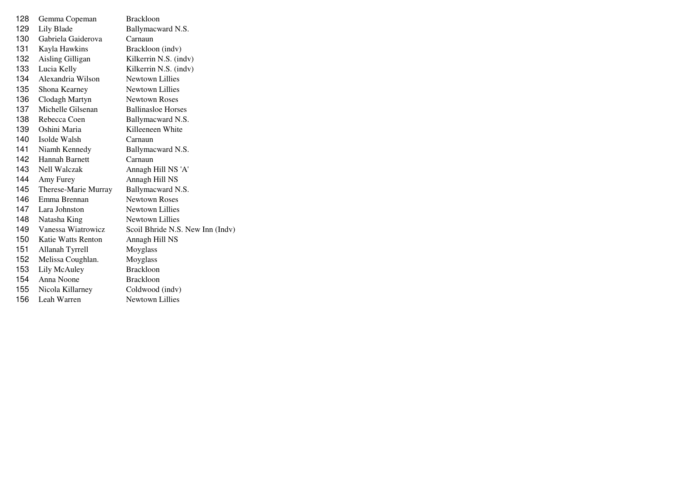| 128 | Gemma Copeman        | <b>Brackloon</b>                 |
|-----|----------------------|----------------------------------|
| 129 | Lily Blade           | Ballymacward N.S.                |
| 130 | Gabriela Gaiderova   | Carnaun                          |
| 131 | Kayla Hawkins        | Brackloon (indv)                 |
| 132 | Aisling Gilligan     | Kilkerrin N.S. (indv)            |
| 133 | Lucia Kelly          | Kilkerrin N.S. (indv)            |
| 134 | Alexandria Wilson    | Newtown Lillies                  |
| 135 | Shona Kearney        | Newtown Lillies                  |
| 136 | Clodagh Martyn       | <b>Newtown Roses</b>             |
| 137 | Michelle Gilsenan    | <b>Ballinasloe Horses</b>        |
| 138 | Rebecca Coen         | Ballymacward N.S.                |
| 139 | Oshini Maria         | Killeeneen White                 |
| 140 | Isolde Walsh         | Carnaun                          |
| 141 | Niamh Kennedy        | Ballymacward N.S.                |
| 142 | Hannah Barnett       | Carnaun                          |
| 143 | <b>Nell Walczak</b>  | Annagh Hill NS 'A'               |
| 144 | Amy Furey            | Annagh Hill NS                   |
| 145 | Therese-Marie Murray | Ballymacward N.S.                |
| 146 | Emma Brennan         | <b>Newtown Roses</b>             |
| 147 | Lara Johnston        | <b>Newtown Lillies</b>           |
| 148 | Natasha King         | <b>Newtown Lillies</b>           |
| 149 | Vanessa Wiatrowicz   | Scoil Bhride N.S. New Inn (Indv) |
| 150 | Katie Watts Renton   | Annagh Hill NS                   |
| 151 | Allanah Tyrrell      | Moyglass                         |
| 152 | Melissa Coughlan.    | Moyglass                         |
| 153 | Lily McAuley         | <b>Brackloon</b>                 |
| 154 | Anna Noone           | <b>Brackloon</b>                 |
| 155 | Nicola Killarney     | Coldwood (indv)                  |
| 156 | Leah Warren          | Newtown Lillies                  |
|     |                      |                                  |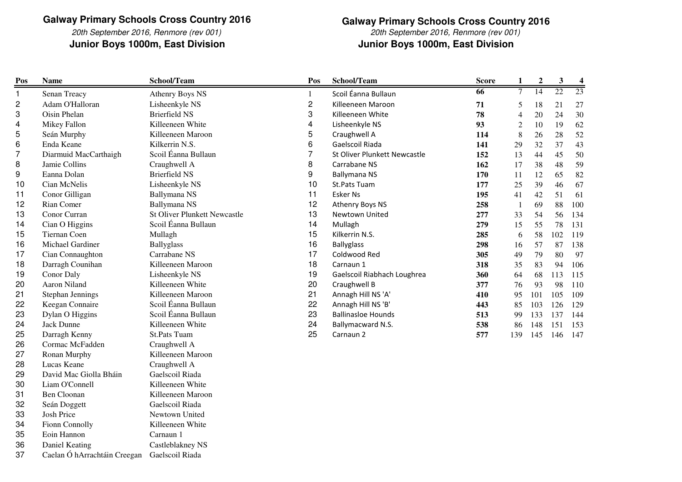20th September 2016, Renmore (rev 001)**Junior Boys 1000m, East Division**

37

Caelan Ó hArrachtáin Creegan Gaelscoil Riada

 **Junior Boys 1000m, East Division Galway Primary Schools Cross Country 2016**20th September 2016, Renmore (rev 001)

| Pos            | <b>Name</b>            | School/Team                         | Pos                     | School/Team                  | <b>Score</b>    | 1              | $\boldsymbol{2}$ | 3               | $\overline{\mathbf{4}}$ |
|----------------|------------------------|-------------------------------------|-------------------------|------------------------------|-----------------|----------------|------------------|-----------------|-------------------------|
| 1              | Senan Treacy           | <b>Athenry Boys NS</b>              | $\mathbf{1}$            | Scoil Éanna Bullaun          | $\overline{66}$ | $\tau$         | 14               | $\overline{22}$ | $\overline{23}$         |
| 2              | Adam O'Halloran        | Lisheenkyle NS                      | $\overline{\mathbf{c}}$ | Killeeneen Maroon            | 71              | 5              | 18               | 21              | 27                      |
| 3              | Oisin Phelan           | <b>Brierfield NS</b>                | 3                       | Killeeneen White             | 78              | 4              | 20               | 24              | 30                      |
| 4              | Mikey Fallon           | Killeeneen White                    | 4                       | Lisheenkyle NS               | 93              | $\overline{c}$ | 10               | 19              | 62                      |
| 5              | Seán Murphy            | Killeeneen Maroon                   | 5                       | Craughwell A                 | 114             | 8              | 26               | 28              | 52                      |
| 6              | Enda Keane             | Kilkerrin N.S.                      | 6                       | Gaelscoil Riada              | 141             | 29             | 32               | 37              | 43                      |
| $\overline{7}$ | Diarmuid MacCarthaigh  | Scoil Éanna Bullaun                 | 7                       | St Oliver Plunkett Newcastle | 152             | 13             | 44               | 45              | 50                      |
| 8              | Jamie Collins          | Craughwell A                        | 8                       | Carrabane NS                 | 162             | 17             | 38               | 48              | 59                      |
| 9              | Eanna Dolan            | <b>Brierfield NS</b>                | 9                       | <b>Ballymana NS</b>          | 170             | 11             | 12               | 65              | 82                      |
| 10             | Cian McNelis           | Lisheenkyle NS                      | 10                      | St.Pats Tuam                 | 177             | 25             | 39               | 46              | 67                      |
| 11             | Conor Gilligan         | <b>Ballymana NS</b>                 | 11                      | <b>Esker Ns</b>              | 195             | 41             | 42               | 51              | 61                      |
| 12             | Rian Comer             | <b>Ballymana NS</b>                 | 12                      | Athenry Boys NS              | 258             |                | 69               | 88              | 100                     |
| 13             | Conor Curran           | <b>St Oliver Plunkett Newcastle</b> | 13                      | Newtown United               | 277             | 33             | 54               | 56              | 134                     |
| 14             | Cian O Higgins         | Scoil Éanna Bullaun                 | 14                      | Mullagh                      | 279             | 15             | 55               | 78              | 131                     |
| 15             | Tiernan Coen           | Mullagh                             | 15                      | Kilkerrin N.S.               | 285             | 6              | 58               | 102             | 119                     |
| 16             | Michael Gardiner       | <b>Ballyglass</b>                   | 16                      | <b>Ballyglass</b>            | 298             | 16             | 57               | 87              | 138                     |
| 17             | Cian Connaughton       | Carrabane NS                        | 17                      | Coldwood Red                 | 305             | 49             | 79               | 80              | 97                      |
| 18             | Darragh Counihan       | Killeeneen Maroon                   | 18                      | Carnaun 1                    | 318             | 35             | 83               | 94              | 106                     |
| 19             | Conor Daly             | Lisheenkyle NS                      | 19                      | Gaelscoil Riabhach Loughrea  | 360             | 64             | 68               | 113             | 115                     |
| 20             | Aaron Niland           | Killeeneen White                    | 20                      | Craughwell B                 | 377             | 76             | 93               | 98              | 110                     |
| 21             | Stephan Jennings       | Killeeneen Maroon                   | 21                      | Annagh Hill NS 'A'           | 410             | 95             | 101              | 105             | 109                     |
| 22             | Keegan Connaire        | Scoil Éanna Bullaun                 | 22                      | Annagh Hill NS 'B'           | 443             | 85             | 103              | 126             | 129                     |
| 23             | Dylan O Higgins        | Scoil Éanna Bullaun                 | 23                      | <b>Ballinasloe Hounds</b>    | 513             | 99             | 133              | 137             | 144                     |
| 24             | <b>Jack Dunne</b>      | Killeeneen White                    | 24                      | Ballymacward N.S.            | 538             | 86             | 148              | 151             | 153                     |
| 25             | Darragh Kenny          | <b>St.Pats Tuam</b>                 | 25                      | Carnaun 2                    | 577             | 139            | 145              | 146             | 147                     |
| 26             | Cormac McFadden        | Craughwell A                        |                         |                              |                 |                |                  |                 |                         |
| 27             | Ronan Murphy           | Killeeneen Maroon                   |                         |                              |                 |                |                  |                 |                         |
| 28             | Lucas Keane            | Craughwell A                        |                         |                              |                 |                |                  |                 |                         |
| 29             | David Mac Giolla Bháin | Gaelscoil Riada                     |                         |                              |                 |                |                  |                 |                         |
| 30             | Liam O'Connell         | Killeeneen White                    |                         |                              |                 |                |                  |                 |                         |
| 31             | <b>Ben Cloonan</b>     | Killeeneen Maroon                   |                         |                              |                 |                |                  |                 |                         |
| 32             | Seán Doggett           | Gaelscoil Riada                     |                         |                              |                 |                |                  |                 |                         |
| 33             | Josh Price             | Newtown United                      |                         |                              |                 |                |                  |                 |                         |
| 34             | Fionn Connolly         | Killeeneen White                    |                         |                              |                 |                |                  |                 |                         |
| 35             | Eoin Hannon            | Carnaun 1                           |                         |                              |                 |                |                  |                 |                         |
| 36             | Daniel Keating         | Castleblakney NS                    |                         |                              |                 |                |                  |                 |                         |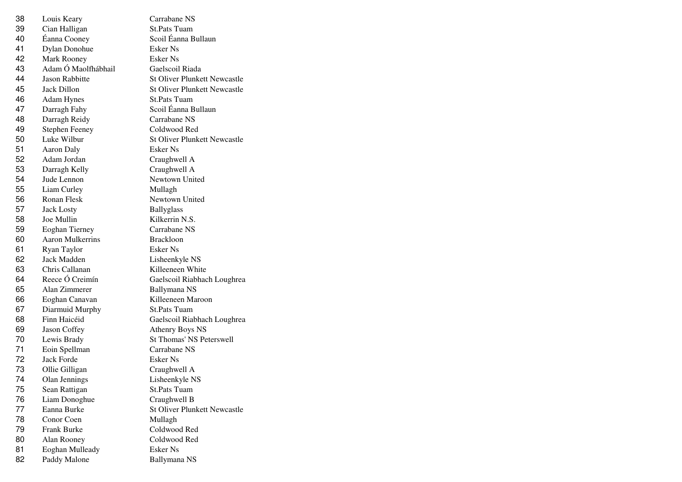| 38 | Louis Keary             | Carrabane NS                        |
|----|-------------------------|-------------------------------------|
| 39 | Cian Halligan           | <b>St.Pats Tuam</b>                 |
| 40 | Éanna Cooney            | Scoil Éanna Bullaun                 |
| 41 | Dylan Donohue           | Esker Ns                            |
| 42 | Mark Rooney             | Esker Ns                            |
| 43 | Adam Ó Maolfhábhail     | Gaelscoil Riada                     |
| 44 | Jason Rabbitte          | <b>St Oliver Plunkett Newcastle</b> |
| 45 | Jack Dillon             | <b>St Oliver Plunkett Newcastle</b> |
| 46 | <b>Adam Hynes</b>       | <b>St.Pats Tuam</b>                 |
| 47 | Darragh Fahy            | Scoil Éanna Bullaun                 |
| 48 | Darragh Reidy           | Carrabane NS                        |
| 49 | <b>Stephen Feeney</b>   | Coldwood Red                        |
| 50 | Luke Wilbur             | <b>St Oliver Plunkett Newcastle</b> |
| 51 | Aaron Daly              | Esker Ns                            |
| 52 | Adam Jordan             | Craughwell A                        |
| 53 | Darragh Kelly           | Craughwell A                        |
| 54 | Jude Lennon             | Newtown United                      |
| 55 | Liam Curley             | Mullagh                             |
| 56 | Ronan Flesk             | Newtown United                      |
| 57 | <b>Jack Losty</b>       | <b>Ballyglass</b>                   |
| 58 | Joe Mullin              | Kilkerrin N.S.                      |
| 59 | <b>Eoghan Tierney</b>   | Carrabane NS                        |
| 60 | <b>Aaron Mulkerrins</b> | <b>Brackloon</b>                    |
| 61 | Ryan Taylor             | Esker Ns                            |
| 62 | Jack Madden             | Lisheenkyle NS                      |
| 63 | Chris Callanan          | Killeeneen White                    |
| 64 | Reece Ó Creimín         | Gaelscoil Riabhach Loughrea         |
| 65 | Alan Zimmerer           | Ballymana NS                        |
| 66 | Eoghan Canavan          | Killeeneen Maroon                   |
| 67 | Diarmuid Murphy         | <b>St.Pats Tuam</b>                 |
| 68 | Finn Haicéid            | Gaelscoil Riabhach Loughrea         |
| 69 | Jason Coffey            | <b>Athenry Boys NS</b>              |
| 70 | Lewis Brady             | <b>St Thomas' NS Peterswell</b>     |
| 71 | Eoin Spellman           | Carrabane NS                        |
| 72 | <b>Jack Forde</b>       | Esker Ns                            |
| 73 | Ollie Gilligan          | Craughwell A                        |
| 74 | Olan Jennings           | Lisheenkyle NS                      |
| 75 | Sean Rattigan           | <b>St.Pats Tuam</b>                 |
| 76 | Liam Donoghue           | Craughwell B                        |
| 77 | Eanna Burke             | <b>St Oliver Plunkett Newcastle</b> |
| 78 | Conor Coen              | Mullagh                             |
| 79 | Frank Burke             | Coldwood Red                        |
| 80 | Alan Rooney             | Coldwood Red                        |
| 81 | Eoghan Mulleady         | <b>Esker Ns</b>                     |
| 82 | Paddy Malone            | Ballymana NS                        |
|    |                         |                                     |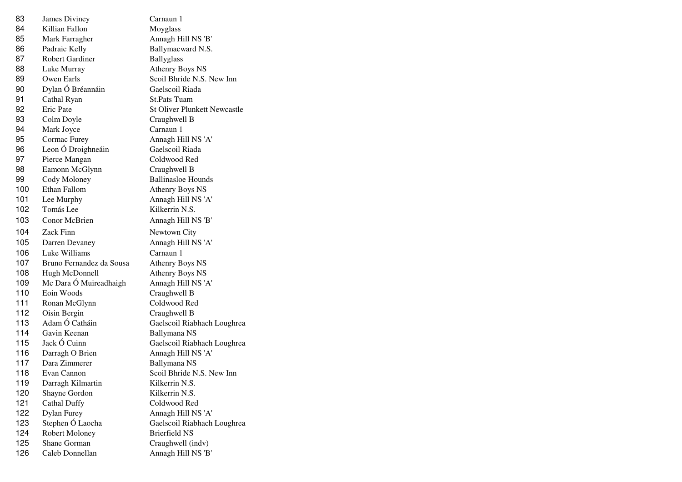| 83  | James Diviney            | Carnaun 1                           |
|-----|--------------------------|-------------------------------------|
| 84  | Killian Fallon           | Moyglass                            |
| 85  | Mark Farragher           | Annagh Hill NS 'B'                  |
| 86  | Padraic Kelly            | Ballymacward N.S.                   |
| 87  | Robert Gardiner          | <b>Ballyglass</b>                   |
| 88  | Luke Murray              | <b>Athenry Boys NS</b>              |
| 89  | Owen Earls               | Scoil Bhride N.S. New Inn           |
| 90  | Dylan Ó Bréannáin        | Gaelscoil Riada                     |
| 91  | Cathal Ryan              | <b>St.Pats Tuam</b>                 |
| 92  | Eric Pate                | <b>St Oliver Plunkett Newcastle</b> |
| 93  | Colm Doyle               | Craughwell B                        |
| 94  | Mark Joyce               | Carnaun 1                           |
| 95  | Cormac Furey             | Annagh Hill NS 'A'                  |
| 96  | Leon Ó Droighneáin       | Gaelscoil Riada                     |
| 97  | Pierce Mangan            | Coldwood Red                        |
| 98  | Eamonn McGlynn           | Craughwell B                        |
| 99  | Cody Moloney             | <b>Ballinasloe Hounds</b>           |
| 100 | Ethan Fallom             | <b>Athenry Boys NS</b>              |
| 101 | Lee Murphy               | Annagh Hill NS 'A'                  |
| 102 | Tomás Lee                | Kilkerrin N.S.                      |
| 103 | Conor McBrien            | Annagh Hill NS 'B'                  |
| 104 | Zack Finn                | Newtown City                        |
| 105 | Darren Devaney           | Annagh Hill NS 'A'                  |
| 106 | Luke Williams            | Carnaun 1                           |
| 107 | Bruno Fernandez da Sousa | <b>Athenry Boys NS</b>              |
| 108 | Hugh McDonnell           | Athenry Boys NS                     |
| 109 | Mc Dara Ó Muireadhaigh   | Annagh Hill NS 'A'                  |
| 110 | Eoin Woods               | Craughwell B                        |
| 111 | Ronan McGlynn            | Coldwood Red                        |
| 112 | Oisin Bergin             | Craughwell B                        |
| 113 | Adam Ó Catháin           | Gaelscoil Riabhach Loughrea         |
| 114 | Gavin Keenan             | Ballymana NS                        |
| 115 | Jack Ó Cuinn             | Gaelscoil Riabhach Loughrea         |
| 116 | Darragh O Brien          | Annagh Hill NS 'A'                  |
| 117 | Dara Zimmerer            | Ballymana NS                        |
| 118 | Evan Cannon              | Scoil Bhride N.S. New Inn           |
| 119 | Darragh Kilmartin        | Kilkerrin N.S.                      |
| 120 | Shayne Gordon            | Kilkerrin N.S.                      |
| 121 | <b>Cathal Duffy</b>      | Coldwood Red                        |
| 122 | Dylan Furey              | Annagh Hill NS 'A'                  |
| 123 | Stephen Ó Laocha         | Gaelscoil Riabhach Loughrea         |
| 124 | <b>Robert Moloney</b>    | <b>Brierfield NS</b>                |
| 125 | Shane Gorman             | Craughwell (indv)                   |
| 126 | Caleb Donnellan          | Annagh Hill NS 'B'                  |
|     |                          |                                     |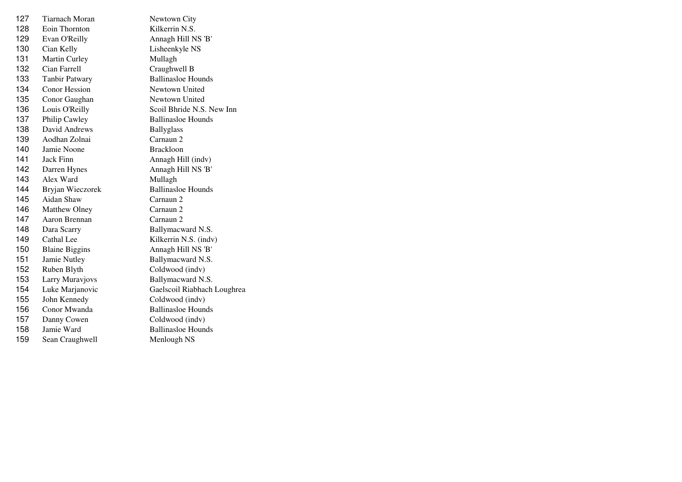| 127 | <b>Tiarnach Moran</b> | Newtown City                |
|-----|-----------------------|-----------------------------|
| 128 | Eoin Thornton         | Kilkerrin N.S.              |
| 129 | Evan O'Reilly         | Annagh Hill NS 'B'          |
| 130 | Cian Kelly            | Lisheenkyle NS              |
| 131 | Martin Curley         | Mullagh                     |
| 132 | Cian Farrell          | Craughwell B                |
| 133 | <b>Tanbir Patwary</b> | <b>Ballinasloe Hounds</b>   |
| 134 | <b>Conor Hession</b>  | Newtown United              |
| 135 | Conor Gaughan         | Newtown United              |
| 136 | Louis O'Reilly        | Scoil Bhride N.S. New Inn   |
| 137 | Philip Cawley         | <b>Ballinasloe Hounds</b>   |
| 138 | David Andrews         | <b>Ballyglass</b>           |
| 139 | Aodhan Zolnai         | Carnaun 2                   |
| 140 | Jamie Noone           | <b>Brackloon</b>            |
| 141 | <b>Jack Finn</b>      | Annagh Hill (indv)          |
| 142 | Darren Hynes          | Annagh Hill NS 'B'          |
| 143 | Alex Ward             | Mullagh                     |
| 144 | Bryjan Wieczorek      | <b>Ballinasloe Hounds</b>   |
| 145 | Aidan Shaw            | Carnaun 2                   |
| 146 | Matthew Olney         | Carnaun 2                   |
| 147 | Aaron Brennan         | Carnaun 2                   |
| 148 | Dara Scarry           | Ballymacward N.S.           |
| 149 | Cathal Lee            | Kilkerrin N.S. (indv)       |
| 150 | <b>Blaine Biggins</b> | Annagh Hill NS 'B'          |
| 151 | Jamie Nutley          | Ballymacward N.S.           |
| 152 | Ruben Blyth           | Coldwood (indv)             |
| 153 | Larry Muravjovs       | Ballymacward N.S.           |
| 154 | Luke Marjanovic       | Gaelscoil Riabhach Loughrea |
| 155 | John Kennedy          | Coldwood (indv)             |
| 156 | Conor Mwanda          | <b>Ballinasloe Hounds</b>   |
| 157 | Danny Cowen           | Coldwood (indv)             |
| 158 | Jamie Ward            | <b>Ballinasloe Hounds</b>   |
| 159 | Sean Craughwell       | Menlough NS                 |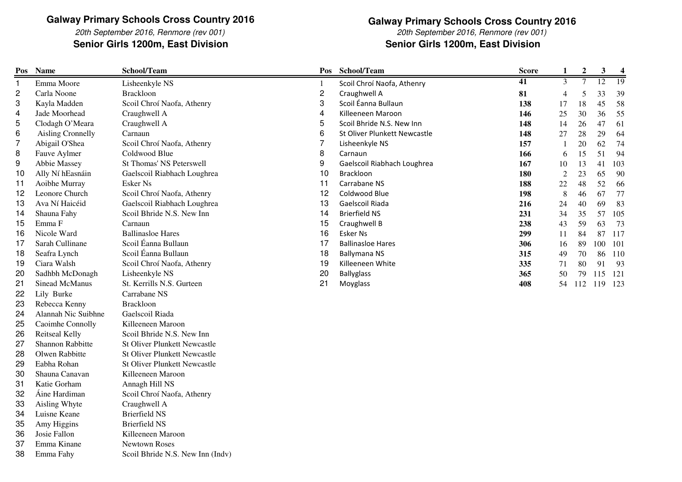20th September 2016, Renmore (rev 001)**Senior Girls 1200m, East Division**

### **Galway Primary Schools Cross Country 2016**

20th September 2016, Renmore (rev 001)**Senior Girls 1200m, East Division**

| Pos          | <b>Name</b>              | School/Team                         | Pos            | School/Team                  | <b>Score</b> | 1              | $\mathbf{2}$ | 3       | $\overline{\mathbf{4}}$ |
|--------------|--------------------------|-------------------------------------|----------------|------------------------------|--------------|----------------|--------------|---------|-------------------------|
| $\mathbf{1}$ | Emma Moore               | Lisheenkyle NS                      |                | Scoil Chroí Naofa, Athenry   | 41           | $\overline{3}$ |              | 12      | 19                      |
| 2            | Carla Noone              | <b>Brackloon</b>                    | $\overline{c}$ | Craughwell A                 | 81           | 4              | 5            | 33      | 39                      |
| 3            | Kayla Madden             | Scoil Chroí Naofa, Athenry          | 3              | Scoil Éanna Bullaun          | 138          | 17             | 18           | 45      | 58                      |
| 4            | Jade Moorhead            | Craughwell A                        | 4              | Killeeneen Maroon            | 146          | 25             | 30           | 36      | 55                      |
| 5            | Clodagh O'Meara          | Craughwell A                        | 5              | Scoil Bhride N.S. New Inn    | 148          | 14             | 26           | 47      | 61                      |
| 6            | <b>Aisling Cronnelly</b> | Carnaun                             | 6              | St Oliver Plunkett Newcastle | 148          | 27             | 28           | 29      | 64                      |
| 7            | Abigail O'Shea           | Scoil Chroí Naofa, Athenry          | $\overline{7}$ | Lisheenkyle NS               | 157          | $\overline{1}$ | 20           | 62      | 74                      |
| 8            | Fauve Aylmer             | Coldwood Blue                       | 8              | Carnaun                      | 166          | 6              | 15           | 51      | 94                      |
| 9            | Abbie Massey             | <b>St Thomas' NS Peterswell</b>     | 9              | Gaelscoil Riabhach Loughrea  | 167          | 10             | 13           | 41      | 103                     |
| 10           | Ally Ní hEasnáin         | Gaelscoil Riabhach Loughrea         | 10             | Brackloon                    | 180          | $\sqrt{2}$     | 23           | 65      | 90                      |
| 11           | Aoibhe Murray            | Esker Ns                            | 11             | Carrabane NS                 | 188          | $22\,$         | 48           | 52      | 66                      |
| 12           | Leonore Church           | Scoil Chroí Naofa, Athenry          | 12             | Coldwood Blue                | 198          | $\,8\,$        | 46           | 67      | 77                      |
| 13           | Ava Ní Haicéid           | Gaelscoil Riabhach Loughrea         | 13             | Gaelscoil Riada              | 216          | 24             | 40           | 69      | 83                      |
| 14           | Shauna Fahy              | Scoil Bhride N.S. New Inn           | 14             | <b>Brierfield NS</b>         | 231          | 34             | 35           | 57      | 105                     |
| 15           | Emma F                   | Carnaun                             | 15             | Craughwell B                 | 238          | 43             | 59           | 63      | 73                      |
| 16           | Nicole Ward              | <b>Ballinasloe Hares</b>            | 16             | Esker Ns                     | 299          | 11             | 84           | 87      | 117                     |
| 17           | Sarah Cullinane          | Scoil Éanna Bullaun                 | 17             | <b>Ballinasloe Hares</b>     | 306          | 16             | 89           | 100     | 101                     |
| 18           | Seafra Lynch             | Scoil Éanna Bullaun                 | 18             | <b>Ballymana NS</b>          | 315          | 49             | 70           | 86      | 110                     |
| 19           | Ciara Walsh              | Scoil Chroí Naofa, Athenry          | 19             | Killeeneen White             | 335          | 71             | 80           | 91      | 93                      |
| 20           | Sadhbh McDonagh          | Lisheenkyle NS                      | 20             | <b>Ballyglass</b>            | 365          | 50             | 79           | 115     | 121                     |
| 21           | Sinead McManus           | St. Kerrills N.S. Gurteen           | 21             | Moyglass                     | 408          | 54             | 112          | 119 123 |                         |
| 22           | Lily Burke               | Carrabane NS                        |                |                              |              |                |              |         |                         |
| 23           | Rebecca Kenny            | <b>Brackloon</b>                    |                |                              |              |                |              |         |                         |
| 24           | Alannah Nic Suibhne      | Gaelscoil Riada                     |                |                              |              |                |              |         |                         |
| 25           | Caoimhe Connolly         | Killeeneen Maroon                   |                |                              |              |                |              |         |                         |
| 26           | Reitseal Kelly           | Scoil Bhride N.S. New Inn           |                |                              |              |                |              |         |                         |
| 27           | Shannon Rabbitte         | <b>St Oliver Plunkett Newcastle</b> |                |                              |              |                |              |         |                         |
| 28           | Olwen Rabbitte           | <b>St Oliver Plunkett Newcastle</b> |                |                              |              |                |              |         |                         |
| 29           | Eabha Rohan              | <b>St Oliver Plunkett Newcastle</b> |                |                              |              |                |              |         |                         |
| 30           | Shauna Canavan           | Killeeneen Maroon                   |                |                              |              |                |              |         |                         |
| 31           | Katie Gorham             | Annagh Hill NS                      |                |                              |              |                |              |         |                         |
| 32           | Áine Hardiman            | Scoil Chroí Naofa, Athenry          |                |                              |              |                |              |         |                         |
| 33           | Aisling Whyte            | Craughwell A                        |                |                              |              |                |              |         |                         |
| 34           | Luisne Keane             | <b>Brierfield NS</b>                |                |                              |              |                |              |         |                         |
| 35           | Amy Higgins              | <b>Brierfield NS</b>                |                |                              |              |                |              |         |                         |
| 36           | Josie Fallon             | Killeeneen Maroon                   |                |                              |              |                |              |         |                         |
| 37           | Emma Kinane              | Newtown Roses                       |                |                              |              |                |              |         |                         |
| 38           | Emma Fahy                | Scoil Bhride N.S. New Inn (Indv)    |                |                              |              |                |              |         |                         |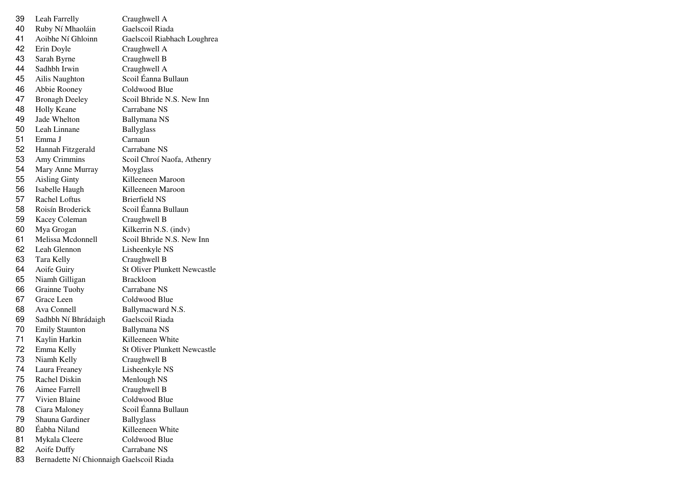| 39 | Leah Farrelly                            | Craughwell A                        |
|----|------------------------------------------|-------------------------------------|
| 40 | Ruby Ní Mhaoláin                         | Gaelscoil Riada                     |
| 41 | Aoibhe Ní Ghloinn                        | Gaelscoil Riabhach Loughrea         |
| 42 | Erin Doyle                               | Craughwell A                        |
| 43 | Sarah Byrne                              | Craughwell B                        |
| 44 | Sadhbh Irwin                             | Craughwell A                        |
| 45 | Ailis Naughton                           | Scoil Éanna Bullaun                 |
| 46 | Abbie Rooney                             | Coldwood Blue                       |
| 47 | <b>Bronagh Deeley</b>                    | Scoil Bhride N.S. New Inn           |
| 48 | <b>Holly Keane</b>                       | Carrabane NS                        |
| 49 | Jade Whelton                             | Ballymana NS                        |
| 50 | Leah Linnane                             | <b>Ballyglass</b>                   |
| 51 | Emma J                                   | Carnaun                             |
| 52 | Hannah Fitzgerald                        | Carrabane NS                        |
| 53 | Amy Crimmins                             | Scoil Chroí Naofa, Athenry          |
| 54 | Mary Anne Murray                         | Moyglass                            |
| 55 | <b>Aisling Ginty</b>                     | Killeeneen Maroon                   |
| 56 | Isabelle Haugh                           | Killeeneen Maroon                   |
| 57 | Rachel Loftus                            | <b>Brierfield NS</b>                |
| 58 | Roisín Broderick                         | Scoil Éanna Bullaun                 |
| 59 | Kacey Coleman                            | Craughwell B                        |
| 60 | Mya Grogan                               | Kilkerrin N.S. (indv)               |
| 61 | Melissa Mcdonnell                        | Scoil Bhride N.S. New Inn           |
| 62 | Leah Glennon                             | Lisheenkyle NS                      |
| 63 | Tara Kelly                               | Craughwell B                        |
| 64 | Aoife Guiry                              | <b>St Oliver Plunkett Newcastle</b> |
| 65 | Niamh Gilligan                           | <b>Brackloon</b>                    |
| 66 | Grainne Tuohy                            | Carrabane NS                        |
| 67 | Grace Leen                               | Coldwood Blue                       |
| 68 | Ava Connell                              | Ballymacward N.S.                   |
| 69 | Sadhbh Ní Bhrádaigh                      | Gaelscoil Riada                     |
| 70 | <b>Emily Staunton</b>                    | <b>Ballymana NS</b>                 |
| 71 | Kaylin Harkin                            | Killeeneen White                    |
| 72 | Emma Kelly                               | <b>St Oliver Plunkett Newcastle</b> |
| 73 | Niamh Kelly                              | Craughwell B                        |
| 74 | Laura Freaney                            | Lisheenkyle NS                      |
| 75 | Rachel Diskin                            | Menlough NS                         |
| 76 | Aimee Farrell                            | Craughwell B                        |
| 77 | Vivien Blaine                            | Coldwood Blue                       |
| 78 | Ciara Maloney                            | Scoil Éanna Bullaun                 |
| 79 | Shauna Gardiner                          | <b>Ballyglass</b>                   |
| 80 | Éabha Niland                             | Killeeneen White                    |
| 81 | Mykala Cleere                            | Coldwood Blue                       |
| 82 | Aoife Duffy                              | Carrabane NS                        |
| 83 | Bernadette Ní Chionnaigh Gaelscoil Riada |                                     |
|    |                                          |                                     |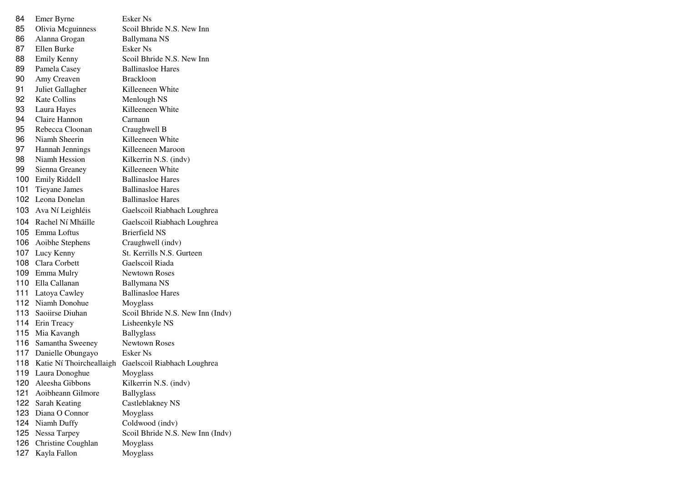| 84  | Emer Byrne               | Esker Ns                         |
|-----|--------------------------|----------------------------------|
| 85  | Olivia Mcguinness        | Scoil Bhride N.S. New Inn        |
| 86  | Alanna Grogan            | Ballymana NS                     |
| 87  | Ellen Burke              | Esker Ns                         |
| 88  | <b>Emily Kenny</b>       | Scoil Bhride N.S. New Inn        |
| 89  | Pamela Casey             | <b>Ballinasloe Hares</b>         |
| 90  | Amy Creaven              | <b>Brackloon</b>                 |
| 91  | Juliet Gallagher         | Killeeneen White                 |
| 92  | <b>Kate Collins</b>      | Menlough NS                      |
| 93  | Laura Hayes              | Killeeneen White                 |
| 94  | Claire Hannon            | Carnaun                          |
| 95  | Rebecca Cloonan          | Craughwell B                     |
| 96  | Niamh Sheerin            | Killeeneen White                 |
| 97  | Hannah Jennings          | Killeeneen Maroon                |
| 98  | Niamh Hession            | Kilkerrin N.S. (indv)            |
| 99  | Sienna Greaney           | Killeeneen White                 |
| 100 | <b>Emily Riddell</b>     | <b>Ballinasloe Hares</b>         |
| 101 | Tieyane James            | <b>Ballinasloe Hares</b>         |
| 102 | Leona Donelan            | <b>Ballinasloe Hares</b>         |
| 103 | Ava Ní Leighléis         | Gaelscoil Riabhach Loughrea      |
| 104 | Rachel Ní Mháille        | Gaelscoil Riabhach Loughrea      |
|     | 105 Emma Loftus          | <b>Brierfield NS</b>             |
|     | 106 Aoibhe Stephens      | Craughwell (indv)                |
|     | 107 Lucy Kenny           | St. Kerrills N.S. Gurteen        |
|     | 108 Clara Corbett        | Gaelscoil Riada                  |
| 109 | Emma Mulry               | <b>Newtown Roses</b>             |
| 110 | Ella Callanan            | Ballymana NS                     |
| 111 | Latoya Cawley            | <b>Ballinasloe Hares</b>         |
|     | 112 Niamh Donohue        | Moyglass                         |
|     | 113 Saoiirse Diuhan      | Scoil Bhride N.S. New Inn (Indv) |
|     | 114 Erin Treacy          | Lisheenkyle NS                   |
|     | 115 Mia Kavangh          | <b>Ballyglass</b>                |
|     | 116 Samantha Sweeney     | <b>Newtown Roses</b>             |
|     | 117 Danielle Obungayo    | Esker Ns                         |
| 118 | Katie Ní Thoircheallaigh | Gaelscoil Riabhach Loughrea      |
| 119 | Laura Donoghue           | Moyglass                         |
| 120 | Aleesha Gibbons          | Kilkerrin N.S. (indv)            |
| 121 | Aoibheann Gilmore        | <b>Ballyglass</b>                |
| 122 | Sarah Keating            | Castleblakney NS                 |
| 123 | Diana O Connor           | Moyglass                         |
| 124 | Niamh Duffy              | Coldwood (indv)                  |
| 125 | Nessa Tarpey             | Scoil Bhride N.S. New Inn (Indv) |
| 126 | Christine Coughlan       | Moyglass                         |
| 127 | Kayla Fallon             | Moyglass                         |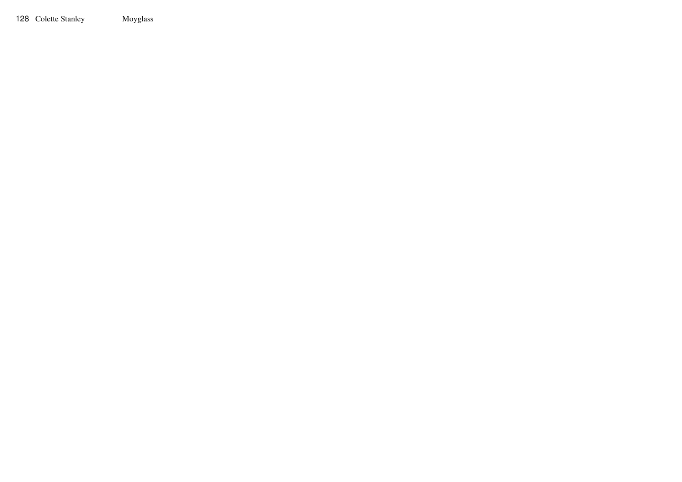Colette Stanley Moyglass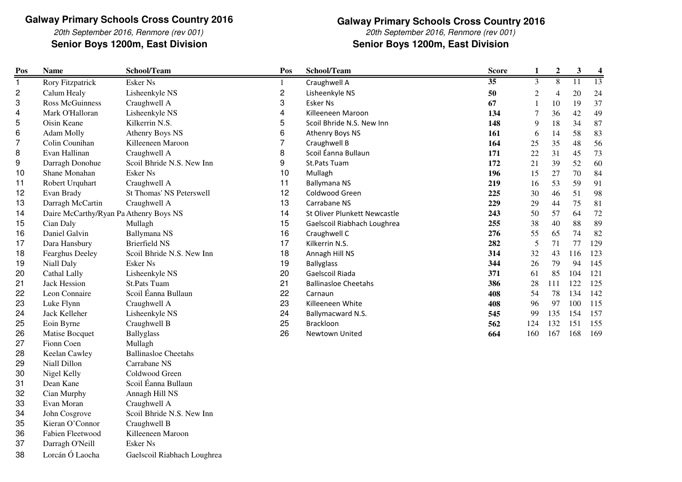20th September 2016, Renmore (rev 001)**Senior Boys 1200m, East Division Senior Boys 1200m, East Division**

# **Galway Primary Schools Cross Country 2016**20th September 2016, Renmore (rev 001)

| Pos            | <b>Name</b>                            | School/Team                     | Pos            | School/Team                  | <b>Score</b>    | $\mathbf{1}$     | $\mathbf 2$    | $\mathbf{3}$ | $\boldsymbol{4}$ |
|----------------|----------------------------------------|---------------------------------|----------------|------------------------------|-----------------|------------------|----------------|--------------|------------------|
| $\mathbf{1}$   | <b>Rory Fitzpatrick</b>                | <b>Esker Ns</b>                 | $\mathbf{1}$   | Craughwell A                 | $\overline{35}$ | 3                | 8              | 11           | 13               |
| 2              | Calum Healy                            | Lisheenkyle NS                  | $\overline{c}$ | Lisheenkyle NS               | 50              | $\boldsymbol{2}$ | $\overline{4}$ | 20           | 24               |
| 3              | <b>Ross McGuinness</b>                 | Craughwell A                    | 3              | <b>Esker Ns</b>              | 67              | 1                | 10             | 19           | 37               |
| 4              | Mark O'Halloran                        | Lisheenkyle NS                  | 4              | Killeeneen Maroon            | 134             | 7                | 36             | 42           | 49               |
| 5              | Oisin Keane                            | Kilkerrin N.S.                  | 5              | Scoil Bhride N.S. New Inn    | 148             | 9                | 18             | 34           | 87               |
| 6              | Adam Molly                             | <b>Athenry Boys NS</b>          | 6              | Athenry Boys NS              | 161             | 6                | 14             | 58           | 83               |
| $\overline{7}$ | Colin Counihan                         | Killeeneen Maroon               | $\overline{7}$ | Craughwell B                 | 164             | 25               | 35             | 48           | 56               |
| 8              | Evan Hallinan                          | Craughwell A                    | 8              | Scoil Éanna Bullaun          | 171             | 22               | 31             | 45           | 73               |
| 9              | Darragh Donohue                        | Scoil Bhride N.S. New Inn       | 9              | St.Pats Tuam                 | 172             | 21               | 39             | 52           | 60               |
| 10             | Shane Monahan                          | <b>Esker Ns</b>                 | 10             | Mullagh                      | 196             | 15               | 27             | 70           | 84               |
| 11             | Robert Urquhart                        | Craughwell A                    | 11             | <b>Ballymana NS</b>          | 219             | 16               | 53             | 59           | 91               |
| 12             | Evan Brady                             | <b>St Thomas' NS Peterswell</b> | 12             | Coldwood Green               | 225             | 30               | 46             | 51           | 98               |
| 13             | Darragh McCartin                       | Craughwell A                    | 13             | Carrabane NS                 | 229             | 29               | 44             | 75           | 81               |
| 14             | Daire McCarthy/Ryan Pa Athenry Boys NS |                                 | 14             | St Oliver Plunkett Newcastle | 243             | 50               | 57             | 64           | 72               |
| 15             | Cian Daly                              | Mullagh                         | 15             | Gaelscoil Riabhach Loughrea  | 255             | 38               | 40             | 88           | 89               |
| 16             | Daniel Galvin                          | Ballymana NS                    | 16             | Craughwell C                 | 276             | 55               | 65             | 74           | 82               |
| 17             | Dara Hansbury                          | <b>Brierfield NS</b>            | 17             | Kilkerrin N.S.               | 282             | 5                | 71             | 77           | 129              |
| 18             | Fearghus Deeley                        | Scoil Bhride N.S. New Inn       | 18             | Annagh Hill NS               | 314             | 32               | 43             | 116          | 123              |
| 19             | Niall Daly                             | <b>Esker Ns</b>                 | 19             | <b>Ballyglass</b>            | 344             | 26               | 79             | 94           | 145              |
| 20             | Cathal Lally                           | Lisheenkyle NS                  | 20             | Gaelscoil Riada              | 371             | 61               | 85             | 104          | 121              |
| 21             | <b>Jack Hession</b>                    | <b>St.Pats Tuam</b>             | 21             | <b>Ballinasloe Cheetahs</b>  | 386             | 28               | 111            | 122          | 125              |
| 22             | Leon Connaire                          | Scoil Éanna Bullaun             | 22             | Carnaun                      | 408             | 54               | 78             | 134          | 142              |
| 23             | Luke Flynn                             | Craughwell A                    | 23             | Killeeneen White             | 408             | 96               | 97             | 100          | 115              |
| 24             | Jack Kelleher                          | Lisheenkyle NS                  | 24             | Ballymacward N.S.            | 545             | 99               | 135            | 154          | 157              |
| 25             | Eoin Byrne                             | Craughwell B                    | 25             | Brackloon                    | 562             | 124              | 132            | 151          | 155              |
| 26             | Matise Bocquet                         | <b>Ballyglass</b>               | 26             | Newtown United               | 664             | 160              | 167            | 168          | 169              |
| 27             | Fionn Coen                             | Mullagh                         |                |                              |                 |                  |                |              |                  |
| 28             | Keelan Cawley                          | <b>Ballinasloe Cheetahs</b>     |                |                              |                 |                  |                |              |                  |
| 29             | Niall Dillon                           | Carrabane NS                    |                |                              |                 |                  |                |              |                  |
| 30             | Nigel Kelly                            | Coldwood Green                  |                |                              |                 |                  |                |              |                  |
| 31             | Dean Kane                              | Scoil Éanna Bullaun             |                |                              |                 |                  |                |              |                  |
| 32             | Cian Murphy                            | Annagh Hill NS                  |                |                              |                 |                  |                |              |                  |
| 33             | Evan Moran                             | Craughwell A                    |                |                              |                 |                  |                |              |                  |
| 34             | John Cosgrove                          | Scoil Bhride N.S. New Inn       |                |                              |                 |                  |                |              |                  |
| 35             | Kieran O'Connor                        | Craughwell B                    |                |                              |                 |                  |                |              |                  |
| 36             | Fabien Fleetwood                       | Killeeneen Maroon               |                |                              |                 |                  |                |              |                  |
| 37             | Darragh O'Neill                        | Esker Ns                        |                |                              |                 |                  |                |              |                  |

38Lorcán Ó Laocha Gaelscoil Riabhach Loughrea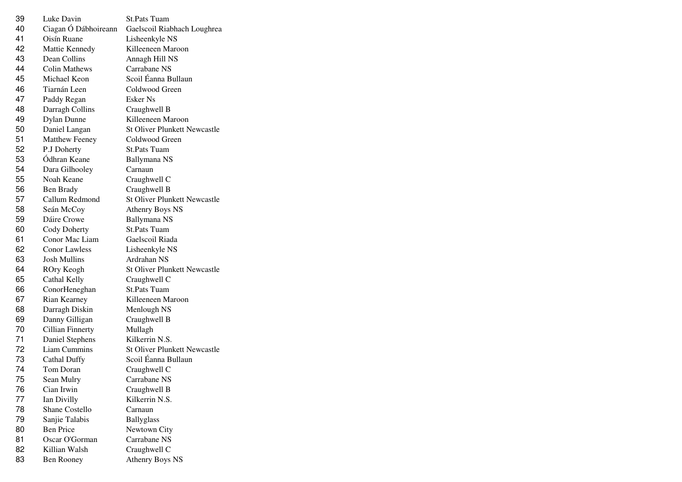| 39 | Luke Davin              | <b>St.Pats Tuam</b>                 |
|----|-------------------------|-------------------------------------|
| 40 | Ciagan Ó Dábhoireann    | Gaelscoil Riabhach Loughrea         |
| 41 | Oisín Ruane             | Lisheenkyle NS                      |
| 42 | Mattie Kennedy          | Killeeneen Maroon                   |
| 43 | Dean Collins            | Annagh Hill NS                      |
| 44 | <b>Colin Mathews</b>    | Carrabane NS                        |
| 45 | Michael Keon            | Scoil Éanna Bullaun                 |
| 46 | Tiarnán Leen            | Coldwood Green                      |
| 47 | Paddy Regan             | Esker Ns                            |
| 48 | Darragh Collins         | Craughwell B                        |
| 49 | <b>Dylan Dunne</b>      | Killeeneen Maroon                   |
| 50 | Daniel Langan           | <b>St Oliver Plunkett Newcastle</b> |
| 51 | <b>Matthew Feeney</b>   | Coldwood Green                      |
| 52 | P.J Doherty             | <b>St.Pats Tuam</b>                 |
| 53 | Ódhran Keane            | Ballymana NS                        |
| 54 | Dara Gilhooley          | Carnaun                             |
| 55 | Noah Keane              | Craughwell C                        |
| 56 | Ben Brady               | Craughwell B                        |
| 57 | Callum Redmond          | <b>St Oliver Plunkett Newcastle</b> |
| 58 | Seán McCoy              | <b>Athenry Boys NS</b>              |
| 59 | Dáire Crowe             | <b>Ballymana NS</b>                 |
| 60 | Cody Doherty            | <b>St.Pats Tuam</b>                 |
| 61 | Conor Mac Liam          | Gaelscoil Riada                     |
| 62 | <b>Conor Lawless</b>    | Lisheenkyle NS                      |
| 63 | <b>Josh Mullins</b>     | Ardrahan NS                         |
| 64 | ROry Keogh              | <b>St Oliver Plunkett Newcastle</b> |
| 65 | Cathal Kelly            | Craughwell C                        |
| 66 | ConorHeneghan           | <b>St.Pats Tuam</b>                 |
| 67 | Rian Kearney            | Killeeneen Maroon                   |
| 68 | Darragh Diskin          | Menlough NS                         |
| 69 | Danny Gilligan          | Craughwell B                        |
| 70 | <b>Cillian Finnerty</b> | Mullagh                             |
| 71 | Daniel Stephens         | Kilkerrin N.S.                      |
| 72 | Liam Cummins            | <b>St Oliver Plunkett Newcastle</b> |
| 73 | <b>Cathal Duffy</b>     | Scoil Éanna Bullaun                 |
| 74 | Tom Doran               | Craughwell C                        |
| 75 | Sean Mulry              | Carrabane NS                        |
| 76 | Cian Irwin              | Craughwell B                        |
| 77 | Ian Divilly             | Kilkerrin N.S.                      |
| 78 | Shane Costello          | Carnaun                             |
| 79 | Sanjie Talabis          | <b>Ballyglass</b>                   |
| 80 | <b>Ben Price</b>        | Newtown City                        |
| 81 | Oscar O'Gorman          | Carrabane NS                        |
| 82 | Killian Walsh           | Craughwell C                        |
| 83 | <b>Ben Rooney</b>       | <b>Athenry Boys NS</b>              |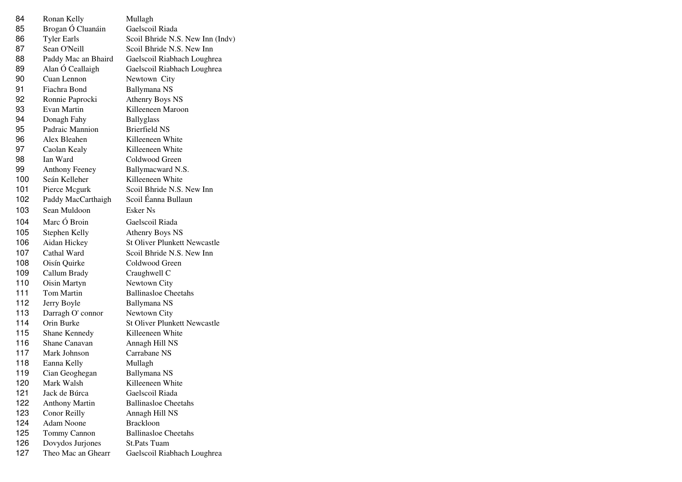| 84  | Ronan Kelly           | Mullagh                             |
|-----|-----------------------|-------------------------------------|
| 85  | Brogan Ó Cluanáin     | Gaelscoil Riada                     |
| 86  | <b>Tyler Earls</b>    | Scoil Bhride N.S. New Inn (Indv)    |
| 87  | Sean O'Neill          | Scoil Bhride N.S. New Inn           |
| 88  | Paddy Mac an Bhaird   | Gaelscoil Riabhach Loughrea         |
| 89  | Alan Ó Ceallaigh      | Gaelscoil Riabhach Loughrea         |
| 90  | Cuan Lennon           | Newtown City                        |
| 91  | Fiachra Bond          | Ballymana NS                        |
| 92  | Ronnie Paprocki       | <b>Athenry Boys NS</b>              |
| 93  | Evan Martin           | Killeeneen Maroon                   |
| 94  | Donagh Fahy           | <b>Ballyglass</b>                   |
| 95  | Padraic Mannion       | <b>Brierfield NS</b>                |
| 96  | Alex Bleahen          | Killeeneen White                    |
| 97  | Caolan Kealy          | Killeeneen White                    |
| 98  | Ian Ward              | Coldwood Green                      |
| 99  | <b>Anthony Feeney</b> | Ballymacward N.S.                   |
| 100 | Seán Kelleher         | Killeeneen White                    |
| 101 | Pierce Mcgurk         | Scoil Bhride N.S. New Inn           |
| 102 | Paddy MacCarthaigh    | Scoil Éanna Bullaun                 |
| 103 | Sean Muldoon          | <b>Esker Ns</b>                     |
| 104 | Marc Ó Broin          | Gaelscoil Riada                     |
| 105 | Stephen Kelly         | <b>Athenry Boys NS</b>              |
| 106 | Aidan Hickey          | <b>St Oliver Plunkett Newcastle</b> |
| 107 | Cathal Ward           | Scoil Bhride N.S. New Inn           |
| 108 | Oisín Quirke          | Coldwood Green                      |
| 109 | Callum Brady          | Craughwell C                        |
| 110 | Oisin Martyn          | Newtown City                        |
| 111 | Tom Martin            | <b>Ballinasloe Cheetahs</b>         |
| 112 | Jerry Boyle           | Ballymana NS                        |
| 113 | Darragh O' connor     | Newtown City                        |
| 114 | Orin Burke            | <b>St Oliver Plunkett Newcastle</b> |
| 115 | Shane Kennedy         | Killeeneen White                    |
| 116 | Shane Canavan         | Annagh Hill NS                      |
| 117 | Mark Johnson          | Carrabane NS                        |
| 118 | Eanna Kelly           | Mullagh                             |
| 119 | Cian Geoghegan        | <b>Ballymana NS</b>                 |
| 120 | Mark Walsh            | Killeeneen White                    |
| 121 | Jack de Búrca         | Gaelscoil Riada                     |
| 122 | <b>Anthony Martin</b> | <b>Ballinasloe Cheetahs</b>         |
| 123 | Conor Reilly          | Annagh Hill NS                      |
| 124 | <b>Adam Noone</b>     | <b>Brackloon</b>                    |
| 125 | Tommy Cannon          | <b>Ballinasloe Cheetahs</b>         |
| 126 | Dovydos Jurjones      | <b>St.Pats Tuam</b>                 |
| 127 | Theo Mac an Ghearr    | Gaelscoil Riabhach Loughrea         |